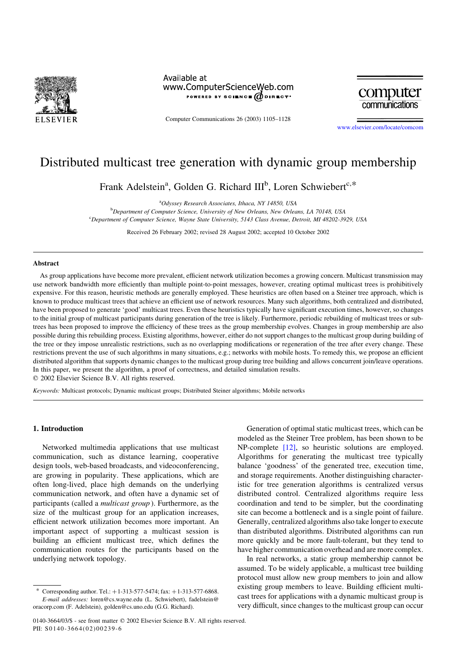

# Available at www.ComputerScienceWeb.com POWERED BY SCIENCE  $\phi$  direct.

Computer Communications 26 (2003) 1105–1128

computer communications

[www.elsevier.com/locate/comcom](http://www.elsevier.com/locate/comcom)

# Distributed multicast tree generation with dynamic group membership

Frank Adelstein<sup>a</sup>, Golden G. Richard III<sup>b</sup>, Loren Schwiebert<sup>c,\*</sup>

<sup>a</sup>Odyssey Research Associates, Ithaca, NY 14850, USA **b** Department of Computer Science, University of New Orleans, New Orleans, LA 70148, USA <sup>c</sup>Department of Computer Science, Wayne State University, 5143 Class Avenue, Detroit, MI 48202-3929, USA

Received 26 February 2002; revised 28 August 2002; accepted 10 October 2002

#### **Abstract**

As group applications have become more prevalent, efficient network utilization becomes a growing concern. Multicast transmission may use network bandwidth more efficiently than multiple point-to-point messages, however, creating optimal multicast trees is prohibitively expensive. For this reason, heuristic methods are generally employed. These heuristics are often based on a Steiner tree approach, which is known to produce multicast trees that achieve an efficient use of network resources. Many such algorithms, both centralized and distributed, have been proposed to generate 'good' multicast trees. Even these heuristics typically have significant execution times, however, so changes to the initial group of multicast participants during generation of the tree is likely. Furthermore, periodic rebuilding of multicast trees or subtrees has been proposed to improve the efficiency of these trees as the group membership evolves. Changes in group membership are also possible during this rebuilding process. Existing algorithms, however, either do not support changes to the multicast group during building of the tree or they impose unrealistic restrictions, such as no overlapping modifications or regeneration of the tree after every change. These restrictions prevent the use of such algorithms in many situations, e.g.; networks with mobile hosts. To remedy this, we propose an efficient distributed algorithm that supports dynamic changes to the multicast group during tree building and allows concurrent join/leave operations. In this paper, we present the algorithm, a proof of correctness, and detailed simulation results.

 $© 2002 Elsevier Science B.V. All rights reserved.$ 

Keywords: Multicast protocols; Dynamic multicast groups; Distributed Steiner algorithms; Mobile networks

#### 1. Introduction

Networked multimedia applications that use multicast communication, such as distance learning, cooperative design tools, web-based broadcasts, and videoconferencing, are growing in popularity. These applications, which are often long-lived, place high demands on the underlying communication network, and often have a dynamic set of participants (called a multicast group ). Furthermore, as the size of the multicast group for an application increases, efficient network utilization becomes more important. An important aspect of supporting a multicast session is building an efficient multicast tree, which defines the communication routes for the participants based on the underlying network topology.

Generation of optimal static multicast trees, which can be modeled as the Steiner Tree problem, has been shown to be NP-complete [\[12\],](#page-23-0) so heuristic solutions are employed. Algorithms for generating the multicast tree typically balance 'goodness' of the generated tree, execution time, and storage requirements. Another distinguishing characteristic for tree generation algorithms is centralized versus distributed control. Centralized algorithms require less coordination and tend to be simpler, but the coordinating site can become a bottleneck and is a single point of failure. Generally, centralized algorithms also take longer to execute than distributed algorithms. Distributed algorithms can run more quickly and be more fault-tolerant, but they tend to have higher communication overhead and are more complex.

In real networks, a static group membership cannot be assumed. To be widely applicable, a multicast tree building protocol must allow new group members to join and allow existing group members to leave. Building efficient multicast trees for applications with a dynamic multicast group is very difficult, since changes to the multicast group can occur

Corresponding author. Tel.:  $+1-313-577-5474$ ; fax:  $+1-313-577-6868$ . E-mail addresses: loren@cs.wayne.edu (L. Schwiebert), fadelstein@ oracorp.com (F. Adelstein), golden@cs.uno.edu (G.G. Richard).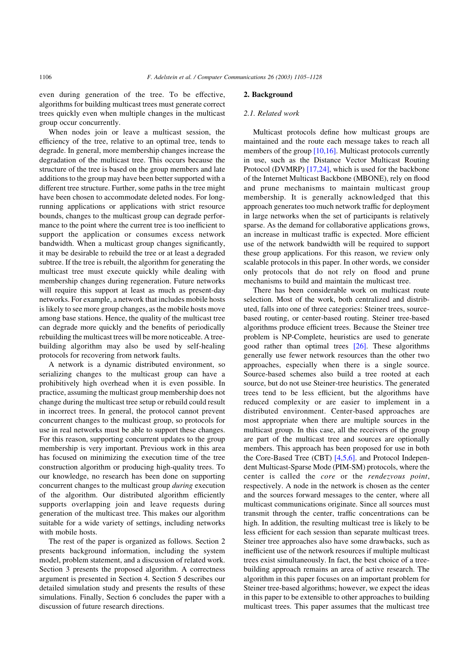even during generation of the tree. To be effective, algorithms for building multicast trees must generate correct trees quickly even when multiple changes in the multicast group occur concurrently.

When nodes join or leave a multicast session, the efficiency of the tree, relative to an optimal tree, tends to degrade. In general, more membership changes increase the degradation of the multicast tree. This occurs because the structure of the tree is based on the group members and late additions to the group may have been better supported with a different tree structure. Further, some paths in the tree might have been chosen to accommodate deleted nodes. For longrunning applications or applications with strict resource bounds, changes to the multicast group can degrade performance to the point where the current tree is too inefficient to support the application or consumes excess network bandwidth. When a multicast group changes significantly, it may be desirable to rebuild the tree or at least a degraded subtree. If the tree is rebuilt, the algorithm for generating the multicast tree must execute quickly while dealing with membership changes during regeneration. Future networks will require this support at least as much as present-day networks. For example, a network that includes mobile hosts is likely to see more group changes, as the mobile hosts move among base stations. Hence, the quality of the multicast tree can degrade more quickly and the benefits of periodically rebuilding the multicast trees will be more noticeable. A treebuilding algorithm may also be used by self-healing protocols for recovering from network faults.

A network is a dynamic distributed environment, so serializing changes to the multicast group can have a prohibitively high overhead when it is even possible. In practice, assuming the multicast group membership does not change during the multicast tree setup or rebuild could result in incorrect trees. In general, the protocol cannot prevent concurrent changes to the multicast group, so protocols for use in real networks must be able to support these changes. For this reason, supporting concurrent updates to the group membership is very important. Previous work in this area has focused on minimizing the execution time of the tree construction algorithm or producing high-quality trees. To our knowledge, no research has been done on supporting concurrent changes to the multicast group during execution of the algorithm. Our distributed algorithm efficiently supports overlapping join and leave requests during generation of the multicast tree. This makes our algorithm suitable for a wide variety of settings, including networks with mobile hosts.

The rest of the paper is organized as follows. Section 2 presents background information, including the system model, problem statement, and a discussion of related work. Section 3 presents the proposed algorithm. A correctness argument is presented in Section 4. Section 5 describes our detailed simulation study and presents the results of these simulations. Finally, Section 6 concludes the paper with a discussion of future research directions.

## 2. Background

#### 2.1. Related work

Multicast protocols define how multicast groups are maintained and the route each message takes to reach all members of the group [\[10,16\]](#page-22-0). Multicast protocols currently in use, such as the Distance Vector Multicast Routing Protocol (DVMRP) [\[17,24\],](#page-23-0) which is used for the backbone of the Internet Multicast Backbone (MBONE), rely on flood and prune mechanisms to maintain multicast group membership. It is generally acknowledged that this approach generates too much network traffic for deployment in large networks when the set of participants is relatively sparse. As the demand for collaborative applications grows, an increase in multicast traffic is expected. More efficient use of the network bandwidth will be required to support these group applications. For this reason, we review only scalable protocols in this paper. In other words, we consider only protocols that do not rely on flood and prune mechanisms to build and maintain the multicast tree.

There has been considerable work on multicast route selection. Most of the work, both centralized and distributed, falls into one of three categories: Steiner trees, sourcebased routing, or center-based routing. Steiner tree-based algorithms produce efficient trees. Because the Steiner tree problem is NP-Complete, heuristics are used to generate good rather than optimal trees [\[26\]](#page-23-0). These algorithms generally use fewer network resources than the other two approaches, especially when there is a single source. Source-based schemes also build a tree rooted at each source, but do not use Steiner-tree heuristics. The generated trees tend to be less efficient, but the algorithms have reduced complexity or are easier to implement in a distributed environment. Center-based approaches are most appropriate when there are multiple sources in the multicast group. In this case, all the receivers of the group are part of the multicast tree and sources are optionally members. This approach has been proposed for use in both the Core-Based Tree (CBT) [\[4,5,6\].](#page-22-0) and Protocol Independent Multicast-Sparse Mode (PIM-SM) protocols, where the center is called the core or the rendezvous point, respectively. A node in the network is chosen as the center and the sources forward messages to the center, where all multicast communications originate. Since all sources must transmit through the center, traffic concentrations can be high. In addition, the resulting multicast tree is likely to be less efficient for each session than separate multicast trees. Steiner tree approaches also have some drawbacks, such as inefficient use of the network resources if multiple multicast trees exist simultaneously. In fact, the best choice of a treebuilding approach remains an area of active research. The algorithm in this paper focuses on an important problem for Steiner tree-based algorithms; however, we expect the ideas in this paper to be extensible to other approaches to building multicast trees. This paper assumes that the multicast tree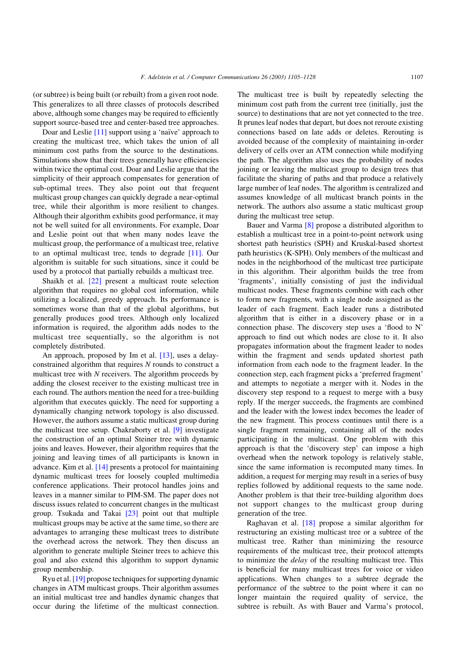(or subtree) is being built (or rebuilt) from a given root node. This generalizes to all three classes of protocols described above, although some changes may be required to efficiently support source-based tree and center-based tree approaches.

Doar and Leslie  $[11]$  support using a 'naïve' approach to creating the multicast tree, which takes the union of all minimum cost paths from the source to the destinations. Simulations show that their trees generally have efficiencies within twice the optimal cost. Doar and Leslie argue that the simplicity of their approach compensates for generation of sub-optimal trees. They also point out that frequent multicast group changes can quickly degrade a near-optimal tree, while their algorithm is more resilient to changes. Although their algorithm exhibits good performance, it may not be well suited for all environments. For example, Doar and Leslie point out that when many nodes leave the multicast group, the performance of a multicast tree, relative to an optimal multicast tree, tends to degrade [\[11\]](#page-23-0). Our algorithm is suitable for such situations, since it could be used by a protocol that partially rebuilds a multicast tree.

Shaikh et al. [\[22\]](#page-23-0) present a multicast route selection algorithm that requires no global cost information, while utilizing a localized, greedy approach. Its performance is sometimes worse than that of the global algorithms, but generally produces good trees. Although only localized information is required, the algorithm adds nodes to the multicast tree sequentially, so the algorithm is not completely distributed.

An approach, proposed by Im et al. [\[13\],](#page-23-0) uses a delayconstrained algorithm that requires N rounds to construct a multicast tree with  $N$  receivers. The algorithm proceeds by adding the closest receiver to the existing multicast tree in each round. The authors mention the need for a tree-building algorithm that executes quickly. The need for supporting a dynamically changing network topology is also discussed. However, the authors assume a static multicast group during the multicast tree setup. Chakraborty et al. [\[9\]](#page-22-0) investigate the construction of an optimal Steiner tree with dynamic joins and leaves. However, their algorithm requires that the joining and leaving times of all participants is known in advance. Kim et al. [\[14\]](#page-23-0) presents a protocol for maintaining dynamic multicast trees for loosely coupled multimedia conference applications. Their protocol handles joins and leaves in a manner similar to PIM-SM. The paper does not discuss issues related to concurrent changes in the multicast group. Tsukada and Takai [\[23\]](#page-23-0) point out that multiple multicast groups may be active at the same time, so there are advantages to arranging these multicast trees to distribute the overhead across the network. They then discuss an algorithm to generate multiple Steiner trees to achieve this goal and also extend this algorithm to support dynamic group membership.

Ryu et al. [\[19\]](#page-23-0) propose techniques for supporting dynamic changes in ATM multicast groups. Their algorithm assumes an initial multicast tree and handles dynamic changes that occur during the lifetime of the multicast connection.

The multicast tree is built by repeatedly selecting the minimum cost path from the current tree (initially, just the source) to destinations that are not yet connected to the tree. It prunes leaf nodes that depart, but does not reroute existing connections based on late adds or deletes. Rerouting is avoided because of the complexity of maintaining in-order delivery of cells over an ATM connection while modifying the path. The algorithm also uses the probability of nodes joining or leaving the multicast group to design trees that facilitate the sharing of paths and that produce a relatively large number of leaf nodes. The algorithm is centralized and assumes knowledge of all multicast branch points in the network. The authors also assume a static multicast group during the multicast tree setup.

Bauer and Varma [\[8\]](#page-22-0) propose a distributed algorithm to establish a multicast tree in a point-to-point network using shortest path heuristics (SPH) and Kruskal-based shortest path heuristics (K-SPH). Only members of the multicast and nodes in the neighborhood of the multicast tree participate in this algorithm. Their algorithm builds the tree from 'fragments', initially consisting of just the individual multicast nodes. These fragments combine with each other to form new fragments, with a single node assigned as the leader of each fragment. Each leader runs a distributed algorithm that is either in a discovery phase or in a connection phase. The discovery step uses a 'flood to N' approach to find out which nodes are close to it. It also propagates information about the fragment leader to nodes within the fragment and sends updated shortest path information from each node to the fragment leader. In the connection step, each fragment picks a 'preferred fragment' and attempts to negotiate a merger with it. Nodes in the discovery step respond to a request to merge with a busy reply. If the merger succeeds, the fragments are combined and the leader with the lowest index becomes the leader of the new fragment. This process continues until there is a single fragment remaining, containing all of the nodes participating in the multicast. One problem with this approach is that the 'discovery step' can impose a high overhead when the network topology is relatively stable, since the same information is recomputed many times. In addition, a request for merging may result in a series of busy replies followed by additional requests to the same node. Another problem is that their tree-building algorithm does not support changes to the multicast group during generation of the tree.

Raghavan et al. [\[18\]](#page-23-0) propose a similar algorithm for restructuring an existing multicast tree or a subtree of the multicast tree. Rather than minimizing the resource requirements of the multicast tree, their protocol attempts to minimize the delay of the resulting multicast tree. This is beneficial for many multicast trees for voice or video applications. When changes to a subtree degrade the performance of the subtree to the point where it can no longer maintain the required quality of service, the subtree is rebuilt. As with Bauer and Varma's protocol,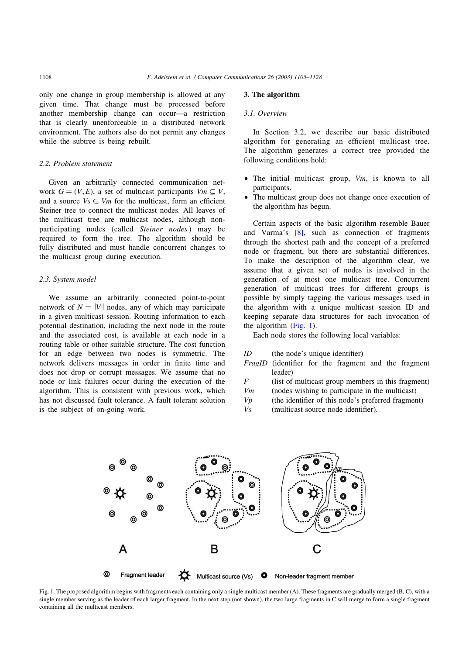only one change in group membership is allowed at any given time. That change must be processed before another membership change can occur—a restriction that is clearly unenforceable in a distributed network environment. The authors also do not permit any changes while the subtree is being rebuilt.

## 2.2. Problem statement

Given an arbitrarily connected communication network  $G = (V, E)$ , a set of multicast participants  $Vm \subseteq V$ , and a source  $V_s \in V_m$  for the multicast, form an efficient Steiner tree to connect the multicast nodes. All leaves of the multicast tree are multicast nodes, although nonparticipating nodes (called Steiner nodes) may be required to form the tree. The algorithm should be fully distributed and must handle concurrent changes to the multicast group during execution.

#### 2.3. System model

We assume an arbitrarily connected point-to-point network of  $N = ||V||$  nodes, any of which may participate in a given multicast session. Routing information to each potential destination, including the next node in the route and the associated cost, is available at each node in a routing table or other suitable structure. The cost function for an edge between two nodes is symmetric. The network delivers messages in order in finite time and does not drop or corrupt messages. We assume that no node or link failures occur during the execution of the algorithm. This is consistent with previous work, which has not discussed fault tolerance. A fault tolerant solution is the subject of on-going work.

## 3. The algorithm

#### 3.1. Overview

In Section 3.2, we describe our basic distributed algorithm for generating an efficient multicast tree. The algorithm generates a correct tree provided the following conditions hold:

- $\bullet$  The initial multicast group, Vm, is known to all participants.
- The multicast group does not change once execution of the algorithm has begun.

Certain aspects of the basic algorithm resemble Bauer and Varma's [\[8\],](#page-22-0) such as connection of fragments through the shortest path and the concept of a preferred node or fragment, but there are substantial differences. To make the description of the algorithm clear, we assume that a given set of nodes is involved in the generation of at most one multicast tree. Concurrent generation of multicast trees for different groups is possible by simply tagging the various messages used in the algorithm with a unique multicast session ID and keeping separate data structures for each invocation of the algorithm  $(Fig. 1)$ .

Each node stores the following local variables:

- ID (the node's unique identifier)
- FragID (identifier for the fragment and the fragment leader)
- $F$  (list of multicast group members in this fragment)
- $Vm$  (nodes wishing to participate in the multicast)
- $Vp$  (the identifier of this node's preferred fragment)
- Vs (multicast source node identifier).



Fig. 1. The proposed algorithm begins with fragments each containing only a single multicast member (A). These fragments are gradually merged (B, C), with a single member serving as the leader of each larger fragment. In the next step (not shown), the two large fragments in C will merge to form a single fragment containing all the multicast members.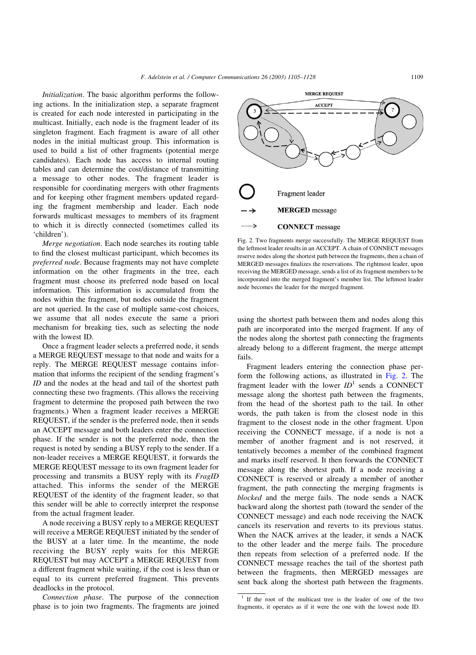Initialization. The basic algorithm performs the following actions. In the initialization step, a separate fragment is created for each node interested in participating in the multicast. Initially, each node is the fragment leader of its singleton fragment. Each fragment is aware of all other nodes in the initial multicast group. This information is used to build a list of other fragments (potential merge candidates). Each node has access to internal routing tables and can determine the cost/distance of transmitting a message to other nodes. The fragment leader is responsible for coordinating mergers with other fragments and for keeping other fragment members updated regarding the fragment membership and leader. Each node forwards multicast messages to members of its fragment to which it is directly connected (sometimes called its 'children').

Merge negotiation. Each node searches its routing table to find the closest multicast participant, which becomes its preferred node. Because fragments may not have complete information on the other fragments in the tree, each fragment must choose its preferred node based on local information. This information is accumulated from the nodes within the fragment, but nodes outside the fragment are not queried. In the case of multiple same-cost choices, we assume that all nodes execute the same a priori mechanism for breaking ties, such as selecting the node with the lowest ID.

Once a fragment leader selects a preferred node, it sends a MERGE REQUEST message to that node and waits for a reply. The MERGE REQUEST message contains information that informs the recipient of the sending fragment's ID and the nodes at the head and tail of the shortest path connecting these two fragments. (This allows the receiving fragment to determine the proposed path between the two fragments.) When a fragment leader receives a MERGE REQUEST, if the sender is the preferred node, then it sends an ACCEPT message and both leaders enter the connection phase. If the sender is not the preferred node, then the request is noted by sending a BUSY reply to the sender. If a non-leader receives a MERGE REQUEST, it forwards the MERGE REQUEST message to its own fragment leader for processing and transmits a BUSY reply with its FragID attached. This informs the sender of the MERGE REQUEST of the identity of the fragment leader, so that this sender will be able to correctly interpret the response from the actual fragment leader.

A node receiving a BUSY reply to a MERGE REQUEST will receive a MERGE REQUEST initiated by the sender of the BUSY at a later time. In the meantime, the node receiving the BUSY reply waits for this MERGE REQUEST but may ACCEPT a MERGE REQUEST from a different fragment while waiting, if the cost is less than or equal to its current preferred fragment. This prevents deadlocks in the protocol.

Connection phase. The purpose of the connection phase is to join two fragments. The fragments are joined



Fig. 2. Two fragments merge successfully. The MERGE REQUEST from the leftmost leader results in an ACCEPT. A chain of CONNECT messages reserve nodes along the shortest path between the fragments, then a chain of MERGED messages finalizes the reservations. The rightmost leader, upon receiving the MERGED message, sends a list of its fragment members to be incorporated into the merged fragment's member list. The leftmost leader node becomes the leader for the merged fragment.

using the shortest path between them and nodes along this path are incorporated into the merged fragment. If any of the nodes along the shortest path connecting the fragments already belong to a different fragment, the merge attempt fails.

Fragment leaders entering the connection phase perform the following actions, as illustrated in Fig. 2. The fragment leader with the lower  $ID<sup>1</sup>$  sends a CONNECT message along the shortest path between the fragments, from the head of the shortest path to the tail. In other words, the path taken is from the closest node in this fragment to the closest node in the other fragment. Upon receiving the CONNECT message, if a node is not a member of another fragment and is not reserved, it tentatively becomes a member of the combined fragment and marks itself reserved. It then forwards the CONNECT message along the shortest path. If a node receiving a CONNECT is reserved or already a member of another fragment, the path connecting the merging fragments is blocked and the merge fails. The node sends a NACK backward along the shortest path (toward the sender of the CONNECT message) and each node receiving the NACK cancels its reservation and reverts to its previous status. When the NACK arrives at the leader, it sends a NACK to the other leader and the merge fails. The procedure then repeats from selection of a preferred node. If the CONNECT message reaches the tail of the shortest path between the fragments, then MERGED messages are sent back along the shortest path between the fragments.

<sup>1</sup> If the root of the multicast tree is the leader of one of the two fragments, it operates as if it were the one with the lowest node ID.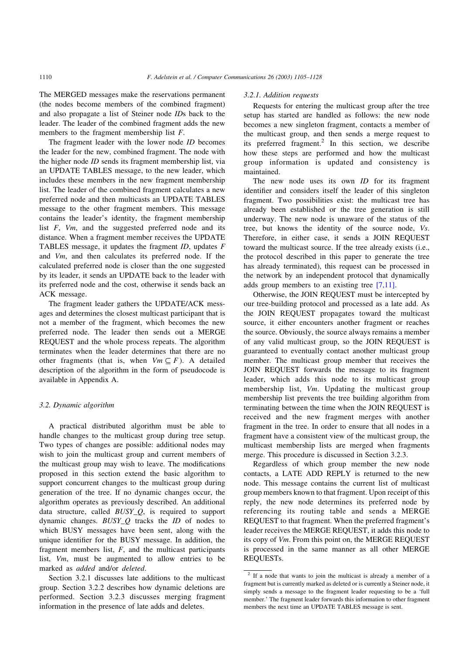The MERGED messages make the reservations permanent (the nodes become members of the combined fragment) and also propagate a list of Steiner node IDs back to the leader. The leader of the combined fragment adds the new members to the fragment membership list F.

The fragment leader with the lower node *ID* becomes the leader for the new, combined fragment. The node with the higher node ID sends its fragment membership list, via an UPDATE TABLES message, to the new leader, which includes these members in the new fragment membership list. The leader of the combined fragment calculates a new preferred node and then multicasts an UPDATE TABLES message to the other fragment members. This message contains the leader's identity, the fragment membership list  $F$ ,  $Vm$ , and the suggested preferred node and its distance. When a fragment member receives the UPDATE TABLES message, it updates the fragment  $ID$ , updates  $F$ and Vm, and then calculates its preferred node. If the calculated preferred node is closer than the one suggested by its leader, it sends an UPDATE back to the leader with its preferred node and the cost, otherwise it sends back an ACK message.

The fragment leader gathers the UPDATE/ACK messages and determines the closest multicast participant that is not a member of the fragment, which becomes the new preferred node. The leader then sends out a MERGE REQUEST and the whole process repeats. The algorithm terminates when the leader determines that there are no other fragments (that is, when  $Vm \subseteq F$ ). A detailed description of the algorithm in the form of pseudocode is available in Appendix A.

#### 3.2. Dynamic algorithm

A practical distributed algorithm must be able to handle changes to the multicast group during tree setup. Two types of changes are possible: additional nodes may wish to join the multicast group and current members of the multicast group may wish to leave. The modifications proposed in this section extend the basic algorithm to support concurrent changes to the multicast group during generation of the tree. If no dynamic changes occur, the algorithm operates as previously described. An additional data structure, called  $BUSY_Q$ , is required to support dynamic changes.  $BUSY_Q$  tracks the *ID* of nodes to which BUSY messages have been sent, along with the unique identifier for the BUSY message. In addition, the fragment members list,  $F$ , and the multicast participants list, Vm, must be augmented to allow entries to be marked as added and/or deleted.

Section 3.2.1 discusses late additions to the multicast group. Section 3.2.2 describes how dynamic deletions are performed. Section 3.2.3 discusses merging fragment information in the presence of late adds and deletes.

#### 3.2.1. Addition requests

Requests for entering the multicast group after the tree setup has started are handled as follows: the new node becomes a new singleton fragment, contacts a member of the multicast group, and then sends a merge request to its preferred fragment.<sup>2</sup> In this section, we describe how these steps are performed and how the multicast group information is updated and consistency is maintained.

The new node uses its own *ID* for its fragment identifier and considers itself the leader of this singleton fragment. Two possibilities exist: the multicast tree has already been established or the tree generation is still underway. The new node is unaware of the status of the tree, but knows the identity of the source node, Vs. Therefore, in either case, it sends a JOIN REQUEST toward the multicast source. If the tree already exists (i.e., the protocol described in this paper to generate the tree has already terminated), this request can be processed in the network by an independent protocol that dynamically adds group members to an existing tree [\[7,11\]](#page-22-0).

Otherwise, the JOIN REQUEST must be intercepted by our tree-building protocol and processed as a late add. As the JOIN REQUEST propagates toward the multicast source, it either encounters another fragment or reaches the source. Obviously, the source always remains a member of any valid multicast group, so the JOIN REQUEST is guaranteed to eventually contact another multicast group member. The multicast group member that receives the JOIN REQUEST forwards the message to its fragment leader, which adds this node to its multicast group membership list, Vm. Updating the multicast group membership list prevents the tree building algorithm from terminating between the time when the JOIN REQUEST is received and the new fragment merges with another fragment in the tree. In order to ensure that all nodes in a fragment have a consistent view of the multicast group, the multicast membership lists are merged when fragments merge. This procedure is discussed in Section 3.2.3.

Regardless of which group member the new node contacts, a LATE ADD REPLY is returned to the new node. This message contains the current list of multicast group members known to that fragment. Upon receipt of this reply, the new node determines its preferred node by referencing its routing table and sends a MERGE REQUEST to that fragment. When the preferred fragment's leader receives the MERGE REQUEST, it adds this node to its copy of Vm. From this point on, the MERGE REQUEST is processed in the same manner as all other MERGE REQUESTs.

<sup>&</sup>lt;sup>2</sup> If a node that wants to join the multicast is already a member of a fragment but is currently marked as deleted or is currently a Steiner node, it simply sends a message to the fragment leader requesting to be a 'full member.' The fragment leader forwards this information to other fragment members the next time an UPDATE TABLES message is sent.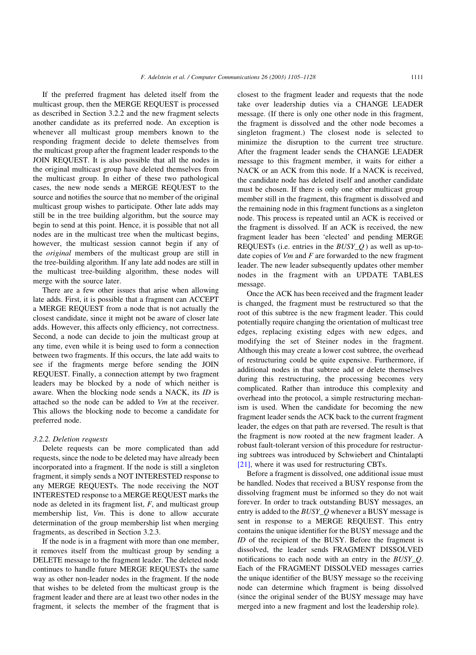If the preferred fragment has deleted itself from the multicast group, then the MERGE REQUEST is processed as described in Section 3.2.2 and the new fragment selects another candidate as its preferred node. An exception is whenever all multicast group members known to the responding fragment decide to delete themselves from the multicast group after the fragment leader responds to the JOIN REQUEST. It is also possible that all the nodes in the original multicast group have deleted themselves from the multicast group. In either of these two pathological cases, the new node sends a MERGE REQUEST to the source and notifies the source that no member of the original multicast group wishes to participate. Other late adds may still be in the tree building algorithm, but the source may begin to send at this point. Hence, it is possible that not all nodes are in the multicast tree when the multicast begins, however, the multicast session cannot begin if any of the original members of the multicast group are still in the tree-building algorithm. If any late add nodes are still in the multicast tree-building algorithm, these nodes will merge with the source later.

There are a few other issues that arise when allowing late adds. First, it is possible that a fragment can ACCEPT a MERGE REQUEST from a node that is not actually the closest candidate, since it might not be aware of closer late adds. However, this affects only efficiency, not correctness. Second, a node can decide to join the multicast group at any time, even while it is being used to form a connection between two fragments. If this occurs, the late add waits to see if the fragments merge before sending the JOIN REQUEST. Finally, a connection attempt by two fragment leaders may be blocked by a node of which neither is aware. When the blocking node sends a NACK, its ID is attached so the node can be added to Vm at the receiver. This allows the blocking node to become a candidate for preferred node.

#### 3.2.2. Deletion requests

Delete requests can be more complicated than add requests, since the node to be deleted may have already been incorporated into a fragment. If the node is still a singleton fragment, it simply sends a NOT INTERESTED response to any MERGE REQUESTs. The node receiving the NOT INTERESTED response to a MERGE REQUEST marks the node as deleted in its fragment list, F, and multicast group membership list, Vm. This is done to allow accurate determination of the group membership list when merging fragments, as described in Section 3.2.3.

If the node is in a fragment with more than one member, it removes itself from the multicast group by sending a DELETE message to the fragment leader. The deleted node continues to handle future MERGE REQUESTs the same way as other non-leader nodes in the fragment. If the node that wishes to be deleted from the multicast group is the fragment leader and there are at least two other nodes in the fragment, it selects the member of the fragment that is closest to the fragment leader and requests that the node take over leadership duties via a CHANGE LEADER message. (If there is only one other node in this fragment, the fragment is dissolved and the other node becomes a singleton fragment.) The closest node is selected to minimize the disruption to the current tree structure. After the fragment leader sends the CHANGE LEADER message to this fragment member, it waits for either a NACK or an ACK from this node. If a NACK is received, the candidate node has deleted itself and another candidate must be chosen. If there is only one other multicast group member still in the fragment, this fragment is dissolved and the remaining node in this fragment functions as a singleton node. This process is repeated until an ACK is received or the fragment is dissolved. If an ACK is received, the new fragment leader has been 'elected' and pending MERGE REQUESTs (i.e. entries in the  $BUSY$  O) as well as up-todate copies of  $Vm$  and  $F$  are forwarded to the new fragment leader. The new leader subsequently updates other member nodes in the fragment with an UPDATE TABLES message.

Once the ACK has been received and the fragment leader is changed, the fragment must be restructured so that the root of this subtree is the new fragment leader. This could potentially require changing the orientation of multicast tree edges, replacing existing edges with new edges, and modifying the set of Steiner nodes in the fragment. Although this may create a lower cost subtree, the overhead of restructuring could be quite expensive. Furthermore, if additional nodes in that subtree add or delete themselves during this restructuring, the processing becomes very complicated. Rather than introduce this complexity and overhead into the protocol, a simple restructuring mechanism is used. When the candidate for becoming the new fragment leader sends the ACK back to the current fragment leader, the edges on that path are reversed. The result is that the fragment is now rooted at the new fragment leader. A robust fault-tolerant version of this procedure for restructuring subtrees was introduced by Schwiebert and Chintalapti [\[21\]](#page-23-0), where it was used for restructuring CBTs.

Before a fragment is dissolved, one additional issue must be handled. Nodes that received a BUSY response from the dissolving fragment must be informed so they do not wait forever. In order to track outstanding BUSY messages, an entry is added to the  $BUSY_Q$  whenever a BUSY message is sent in response to a MERGE REQUEST. This entry contains the unique identifier for the BUSY message and the ID of the recipient of the BUSY. Before the fragment is dissolved, the leader sends FRAGMENT DISSOLVED notifications to each node with an entry in the BUSY O. Each of the FRAGMENT DISSOLVED messages carries the unique identifier of the BUSY message so the receiving node can determine which fragment is being dissolved (since the original sender of the BUSY message may have merged into a new fragment and lost the leadership role).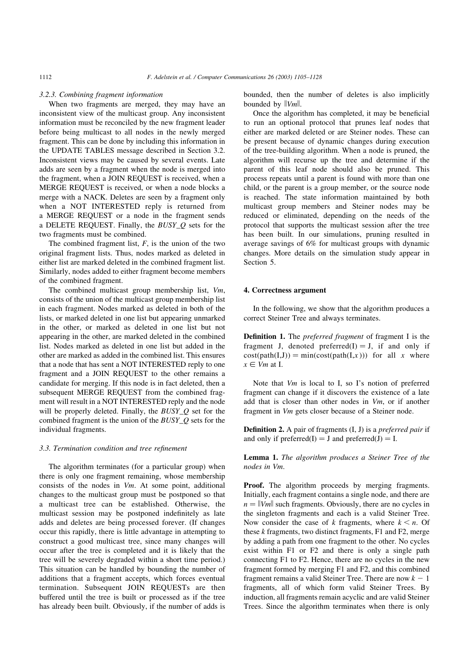#### 3.2.3. Combining fragment information

When two fragments are merged, they may have an inconsistent view of the multicast group. Any inconsistent information must be reconciled by the new fragment leader before being multicast to all nodes in the newly merged fragment. This can be done by including this information in the UPDATE TABLES message described in Section 3.2. Inconsistent views may be caused by several events. Late adds are seen by a fragment when the node is merged into the fragment, when a JOIN REQUEST is received, when a MERGE REQUEST is received, or when a node blocks a merge with a NACK. Deletes are seen by a fragment only when a NOT INTERESTED reply is returned from a MERGE REQUEST or a node in the fragment sends a DELETE REQUEST. Finally, the  $BUSY_Q$  sets for the two fragments must be combined.

The combined fragment list,  $F$ , is the union of the two original fragment lists. Thus, nodes marked as deleted in either list are marked deleted in the combined fragment list. Similarly, nodes added to either fragment become members of the combined fragment.

The combined multicast group membership list, Vm, consists of the union of the multicast group membership list in each fragment. Nodes marked as deleted in both of the lists, or marked deleted in one list but appearing unmarked in the other, or marked as deleted in one list but not appearing in the other, are marked deleted in the combined list. Nodes marked as deleted in one list but added in the other are marked as added in the combined list. This ensures that a node that has sent a NOT INTERESTED reply to one fragment and a JOIN REQUEST to the other remains a candidate for merging. If this node is in fact deleted, then a subsequent MERGE REQUEST from the combined fragment will result in a NOT INTERESTED reply and the node will be properly deleted. Finally, the  $BUSY_Q$  set for the combined fragment is the union of the  $BUSY_Q$  sets for the individual fragments.

#### 3.3. Termination condition and tree refinement

The algorithm terminates (for a particular group) when there is only one fragment remaining, whose membership consists of the nodes in Vm. At some point, additional changes to the multicast group must be postponed so that a multicast tree can be established. Otherwise, the multicast session may be postponed indefinitely as late adds and deletes are being processed forever. (If changes occur this rapidly, there is little advantage in attempting to construct a good multicast tree, since many changes will occur after the tree is completed and it is likely that the tree will be severely degraded within a short time period.) This situation can be handled by bounding the number of additions that a fragment accepts, which forces eventual termination. Subsequent JOIN REQUESTs are then buffered until the tree is built or processed as if the tree has already been built. Obviously, if the number of adds is bounded, then the number of deletes is also implicitly bounded by  $||Vm||$ .

Once the algorithm has completed, it may be beneficial to run an optional protocol that prunes leaf nodes that either are marked deleted or are Steiner nodes. These can be present because of dynamic changes during execution of the tree-building algorithm. When a node is pruned, the algorithm will recurse up the tree and determine if the parent of this leaf node should also be pruned. This process repeats until a parent is found with more than one child, or the parent is a group member, or the source node is reached. The state information maintained by both multicast group members and Steiner nodes may be reduced or eliminated, depending on the needs of the protocol that supports the multicast session after the tree has been built. In our simulations, pruning resulted in average savings of 6% for multicast groups with dynamic changes. More details on the simulation study appear in Section 5.

#### 4. Correctness argument

In the following, we show that the algorithm produces a correct Steiner Tree and always terminates.

Definition 1. The *preferred fragment* of fragment I is the fragment J, denoted preferred $(I) = J$ , if and only if  $cost(path(I, J)) = min(cost(path(I, x)))$  for all x where  $x \in Vm$  at I.

Note that Vm is local to I, so I's notion of preferred fragment can change if it discovers the existence of a late add that is closer than other nodes in Vm, or if another fragment in Vm gets closer because of a Steiner node.

**Definition 2.** A pair of fragments  $(I, J)$  is a *preferred pair* if and only if preferred(I) = J and preferred(J) = I.

Lemma 1. The algorithm produces a Steiner Tree of the nodes in Vm.

Proof. The algorithm proceeds by merging fragments. Initially, each fragment contains a single node, and there are  $n = ||Vm||$  such fragments. Obviously, there are no cycles in the singleton fragments and each is a valid Steiner Tree. Now consider the case of k fragments, where  $k < n$ . Of these  $k$  fragments, two distinct fragments,  $F1$  and  $F2$ , merge by adding a path from one fragment to the other. No cycles exist within F1 or F2 and there is only a single path connecting F1 to F2. Hence, there are no cycles in the new fragment formed by merging F1 and F2, and this combined fragment remains a valid Steiner Tree. There are now  $k - 1$ fragments, all of which form valid Steiner Trees. By induction, all fragments remain acyclic and are valid Steiner Trees. Since the algorithm terminates when there is only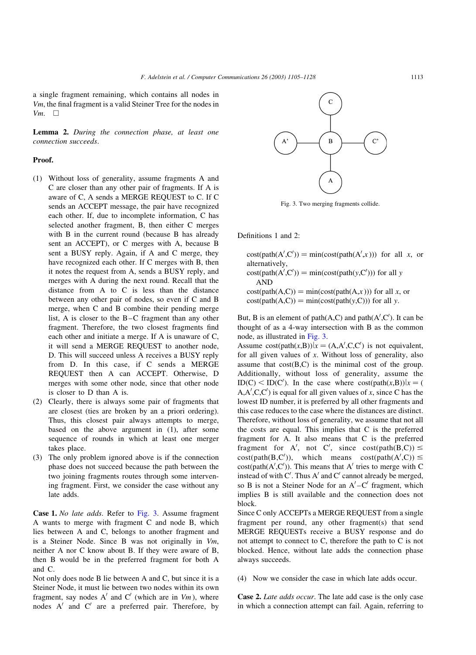<span id="page-8-0"></span>a single fragment remaining, which contains all nodes in Vm, the final fragment is a valid Steiner Tree for the nodes in  $Vm. \square$ 

Lemma 2. During the connection phase, at least one connection succeeds.

## Proof.

- (1) Without loss of generality, assume fragments A and C are closer than any other pair of fragments. If A is aware of C, A sends a MERGE REQUEST to C. If C sends an ACCEPT message, the pair have recognized each other. If, due to incomplete information, C has selected another fragment, B, then either C merges with B in the current round (because B has already sent an ACCEPT), or C merges with A, because B sent a BUSY reply. Again, if A and C merge, they have recognized each other. If C merges with B, then it notes the request from A, sends a BUSY reply, and merges with A during the next round. Recall that the distance from A to C is less than the distance between any other pair of nodes, so even if C and B merge, when C and B combine their pending merge list, A is closer to the B–C fragment than any other fragment. Therefore, the two closest fragments find each other and initiate a merge. If A is unaware of C, it will send a MERGE REQUEST to another node, D. This will succeed unless A receives a BUSY reply from D. In this case, if C sends a MERGE REQUEST then A can ACCEPT. Otherwise, D merges with some other node, since that other node is closer to D than A is.
- (2) Clearly, there is always some pair of fragments that are closest (ties are broken by an a priori ordering). Thus, this closest pair always attempts to merge, based on the above argument in (1), after some sequence of rounds in which at least one merger takes place.
- (3) The only problem ignored above is if the connection phase does not succeed because the path between the two joining fragments routes through some intervening fragment. First, we consider the case without any late adds.

Case 1. No late adds. Refer to Fig. 3. Assume fragment A wants to merge with fragment C and node B, which lies between A and C, belongs to another fragment and is a Steiner Node. Since B was not originally in Vm, neither A nor C know about B. If they were aware of B, then B would be in the preferred fragment for both A and C.

Not only does node B lie between A and C, but since it is a Steiner Node, it must lie between two nodes within its own fragment, say nodes A' and C' (which are in  $Vm$ ), where nodes  $A'$  and  $C'$  are a preferred pair. Therefore, by

 $\overline{B}$  $\overline{C}$ 

Fig. 3. Two merging fragments collide.

Definitions 1 and 2:

- $cost(path(A', C')) = min(cost(path(A', x)))$  for all x, or alternatively,
- $cost(path(A', C')) = min(cost(path(y, C')))$  for all y AND
- $cost(path(A, C)) = min(cost(path(A, x)))$  for all x, or  $cost(path(A, C)) = min(cost(path(y, C)))$  for all y.

But, B is an element of path $(A,C)$  and path $(A',C')$ . It can be thought of as a 4-way intersection with B as the common node, as illustrated in Fig. 3.

Assume  $cost(path(x,B))|x = (A, A', C, C')$  is not equivalent, for all given values of  $x$ . Without loss of generality, also assume that cost(B,C) is the minimal cost of the group. Additionally, without loss of generality, assume the  $ID(C) < ID(C')$ . In the case where  $cost(path(x, B))|x = ($  $A, A', C, C'$  is equal for all given values of x, since C has the lowest ID number, it is preferred by all other fragments and this case reduces to the case where the distances are distinct. Therefore, without loss of generality, we assume that not all the costs are equal. This implies that C is the preferred fragment for A. It also means that C is the preferred fragment for A', not C', since  $cost(path(B,C)) \le$  $cost(path(B, C'))$ , which means  $cost(path(A', C)) \le$  $cost(path(A', C'))$ . This means that A' tries to merge with C instead of with  $C'$ . Thus A' and  $C'$  cannot already be merged, so B is not a Steiner Node for an  $A'-C'$  fragment, which implies B is still available and the connection does not block.

Since C only ACCEPTs a MERGE REQUEST from a single fragment per round, any other fragment(s) that send MERGE REQUESTs receive a BUSY response and do not attempt to connect to C, therefore the path to C is not blocked. Hence, without late adds the connection phase always succeeds.

(4) Now we consider the case in which late adds occur.

Case 2. Late adds occur. The late add case is the only case in which a connection attempt can fail. Again, referring to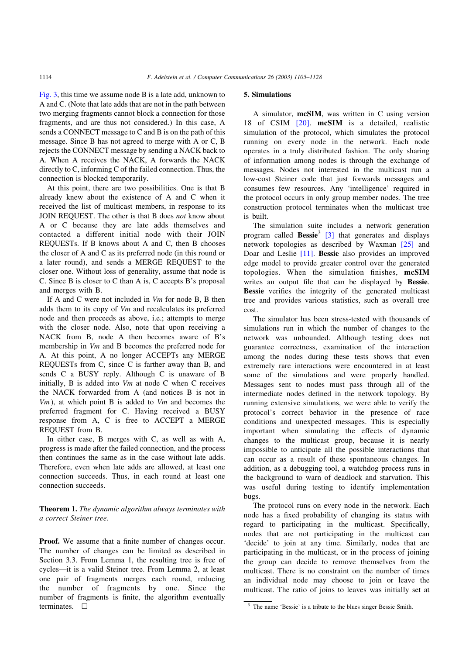[Fig. 3,](#page-8-0) this time we assume node B is a late add, unknown to A and C. (Note that late adds that are not in the path between two merging fragments cannot block a connection for those fragments, and are thus not considered.) In this case, A sends a CONNECT message to C and B is on the path of this message. Since B has not agreed to merge with A or C, B rejects the CONNECT message by sending a NACK back to A. When A receives the NACK, A forwards the NACK directly to C, informing C of the failed connection. Thus, the connection is blocked temporarily.

At this point, there are two possibilities. One is that B already knew about the existence of A and C when it received the list of multicast members, in response to its JOIN REQUEST. The other is that B does not know about A or C because they are late adds themselves and contacted a different initial node with their JOIN REQUESTs. If B knows about A and C, then B chooses the closer of A and C as its preferred node (in this round or a later round), and sends a MERGE REQUEST to the closer one. Without loss of generality, assume that node is C. Since B is closer to C than A is, C accepts B's proposal and merges with B.

If A and C were not included in Vm for node B, B then adds them to its copy of Vm and recalculates its preferred node and then proceeds as above, i.e.; attempts to merge with the closer node. Also, note that upon receiving a NACK from B, node A then becomes aware of B's membership in Vm and B becomes the preferred node for A. At this point, A no longer ACCEPTs any MERGE REQUESTs from C, since C is farther away than B, and sends C a BUSY reply. Although C is unaware of B initially, B is added into Vm at node C when C receives the NACK forwarded from A (and notices B is not in  $Vm$ ), at which point B is added to  $Vm$  and becomes the preferred fragment for C. Having received a BUSY response from A, C is free to ACCEPT a MERGE REQUEST from B.

In either case, B merges with C, as well as with A, progress is made after the failed connection, and the process then continues the same as in the case without late adds. Therefore, even when late adds are allowed, at least one connection succeeds. Thus, in each round at least one connection succeeds.

# Theorem 1. The dynamic algorithm always terminates with a correct Steiner tree.

Proof. We assume that a finite number of changes occur. The number of changes can be limited as described in Section 3.3. From Lemma 1, the resulting tree is free of cycles—it is a valid Steiner tree. From Lemma 2, at least one pair of fragments merges each round, reducing the number of fragments by one. Since the number of fragments is finite, the algorithm eventually terminates.  $\square$ 

## 5. Simulations

A simulator, mcSIM, was written in C using version 18 of CSIM [\[20\]](#page-23-0). mcSIM is a detailed, realistic simulation of the protocol, which simulates the protocol running on every node in the network. Each node operates in a truly distributed fashion. The only sharing of information among nodes is through the exchange of messages. Nodes not interested in the multicast run a low-cost Steiner code that just forwards messages and consumes few resources. Any 'intelligence' required in the protocol occurs in only group member nodes. The tree construction protocol terminates when the multicast tree is built.

The simulation suite includes a network generation program called **Bessie**<sup>3</sup> [\[3\]](#page-22-0) that generates and displays network topologies as described by Waxman [\[25\]](#page-23-0) and Doar and Leslie [\[11\].](#page-23-0) Bessie also provides an improved edge model to provide greater control over the generated topologies. When the simulation finishes, mcSIM writes an output file that can be displayed by **Bessie**. Bessie verifies the integrity of the generated multicast tree and provides various statistics, such as overall tree cost.

The simulator has been stress-tested with thousands of simulations run in which the number of changes to the network was unbounded. Although testing does not guarantee correctness, examination of the interaction among the nodes during these tests shows that even extremely rare interactions were encountered in at least some of the simulations and were properly handled. Messages sent to nodes must pass through all of the intermediate nodes defined in the network topology. By running extensive simulations, we were able to verify the protocol's correct behavior in the presence of race conditions and unexpected messages. This is especially important when simulating the effects of dynamic changes to the multicast group, because it is nearly impossible to anticipate all the possible interactions that can occur as a result of these spontaneous changes. In addition, as a debugging tool, a watchdog process runs in the background to warn of deadlock and starvation. This was useful during testing to identify implementation bugs.

The protocol runs on every node in the network. Each node has a fixed probability of changing its status with regard to participating in the multicast. Specifically, nodes that are not participating in the multicast can 'decide' to join at any time. Similarly, nodes that are participating in the multicast, or in the process of joining the group can decide to remove themselves from the multicast. There is no constraint on the number of times an individual node may choose to join or leave the multicast. The ratio of joins to leaves was initially set at

<sup>&</sup>lt;sup>3</sup> The name 'Bessie' is a tribute to the blues singer Bessie Smith.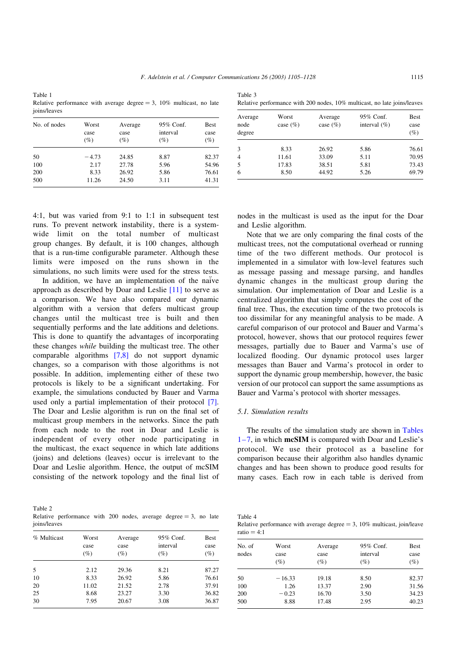<span id="page-10-0"></span>Table 1 Relative performance with average degree  $=$  3, 10% multicast, no late joins/leaves

| No. of nodes | Worst<br>case<br>(%) | Average<br>case<br>(%) | 95% Conf.<br>interval<br>(%) | <b>Best</b><br>case<br>$(\%)$ |
|--------------|----------------------|------------------------|------------------------------|-------------------------------|
| 50           | $-4.73$              | 24.85                  | 8.87                         | 82.37                         |
| 100          | 2.17                 | 27.78                  | 5.96                         | 54.96                         |
| 200          | 8.33                 | 26.92                  | 5.86                         | 76.61                         |
| 500          | 11.26                | 24.50                  | 3.11                         | 41.31                         |

Table 3 Relative performance with 200 nodes, 10% multicast, no late joins/leaves

| Average<br>node<br>degree | Worst<br>case $(\% )$ | Average<br>case $(\% )$ | 95% Conf.<br>interval $(\% )$ | Best<br>case<br>$(\%)$ |
|---------------------------|-----------------------|-------------------------|-------------------------------|------------------------|
| 3                         | 8.33                  | 26.92                   | 5.86                          | 76.61                  |
| 4                         | 11.61                 | 33.09                   | 5.11                          | 70.95                  |
| 5                         | 17.83                 | 38.51                   | 5.81                          | 73.43                  |
| 6                         | 8.50                  | 44.92                   | 5.26                          | 69.79                  |

4:1, but was varied from 9:1 to 1:1 in subsequent test runs. To prevent network instability, there is a systemwide limit on the total number of multicast group changes. By default, it is 100 changes, although that is a run-time configurable parameter. Although these limits were imposed on the runs shown in the simulations, no such limits were used for the stress tests.

In addition, we have an implementation of the naive approach as described by Doar and Leslie [\[11\]](#page-23-0) to serve as a comparison. We have also compared our dynamic algorithm with a version that defers multicast group changes until the multicast tree is built and then sequentially performs and the late additions and deletions. This is done to quantify the advantages of incorporating these changes while building the multicast tree. The other comparable algorithms [\[7,8\]](#page-22-0) do not support dynamic changes, so a comparison with those algorithms is not possible. In addition, implementing either of these two protocols is likely to be a significant undertaking. For example, the simulations conducted by Bauer and Varma used only a partial implementation of their protocol [\[7\]](#page-22-0). The Doar and Leslie algorithm is run on the final set of multicast group members in the networks. Since the path from each node to the root in Doar and Leslie is independent of every other node participating in the multicast, the exact sequence in which late additions (joins) and deletions (leaves) occur is irrelevant to the Doar and Leslie algorithm. Hence, the output of mcSIM consisting of the network topology and the final list of nodes in the multicast is used as the input for the Doar and Leslie algorithm.

Note that we are only comparing the final costs of the multicast trees, not the computational overhead or running time of the two different methods. Our protocol is implemented in a simulator with low-level features such as message passing and message parsing, and handles dynamic changes in the multicast group during the simulation. Our implementation of Doar and Leslie is a centralized algorithm that simply computes the cost of the final tree. Thus, the execution time of the two protocols is too dissimilar for any meaningful analysis to be made. A careful comparison of our protocol and Bauer and Varma's protocol, however, shows that our protocol requires fewer messages, partially due to Bauer and Varma's use of localized flooding. Our dynamic protocol uses larger messages than Bauer and Varma's protocol in order to support the dynamic group membership, however, the basic version of our protocol can support the same assumptions as Bauer and Varma's protocol with shorter messages.

# 5.1. Simulation results

Table 4

The results of the simulation study are shown in Tables  $1-7$ , in which **mcSIM** is compared with Doar and Leslie's protocol. We use their protocol as a baseline for comparison because their algorithm also handles dynamic changes and has been shown to produce good results for many cases. Each row in each table is derived from

| ٧<br>. .<br>×<br>٠ |  |
|--------------------|--|
|--------------------|--|

Relative performance with 200 nodes, average degree  $= 3$ , no late joins/leaves

| % Multicast | Worst | Average | 95% Conf.       | <b>Best</b>    |
|-------------|-------|---------|-----------------|----------------|
|             | case  | case    | interval<br>(%) | case<br>$(\%)$ |
|             | (%)   | (%)     |                 |                |
| 5           | 2.12  | 29.36   | 8.21            | 87.27          |
| 10          | 8.33  | 26.92   | 5.86            | 76.61          |
| 20          | 11.02 | 21.52   | 2.78            | 37.91          |
| 25          | 8.68  | 23.27   | 3.30            | 36.82          |
| 30          | 7.95  | 20.67   | 3.08            | 36.87          |

Relative performance with average degree  $= 3$ , 10% multicast, join/leave  $ratio = 4:1$ 

| No. of<br>nodes | Worst<br>case<br>(%) | Average<br>case<br>(%) | 95% Conf.<br>interval<br>(%) | Best<br>case<br>$(\%)$ |
|-----------------|----------------------|------------------------|------------------------------|------------------------|
| 50              | $-16.33$             | 19.18                  | 8.50                         | 82.37                  |
| 100             | 1.26                 | 13.37                  | 2.90                         | 31.56                  |
| 200<br>500      | $-0.23$<br>8.88      | 16.70<br>17.48         | 3.50<br>2.95                 | 34.23<br>40.23         |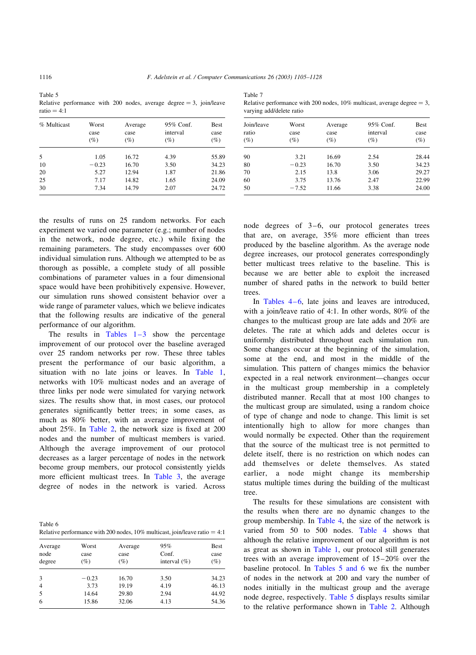<span id="page-11-0"></span>Table 5 Relative performance with 200 nodes, average degree  $= 3$ , join/leave ratio  $= 4.1$ 

| % Multicast | Worst<br>case<br>$(\%)$ | Average<br>case<br>$(\%)$ | 95% Conf.<br>interval<br>$(\%)$ | <b>Best</b><br>case<br>(%) |
|-------------|-------------------------|---------------------------|---------------------------------|----------------------------|
|             |                         |                           |                                 |                            |
|             |                         |                           |                                 |                            |
| 5           | 1.05                    | 16.72                     | 4.39                            | 55.89                      |
| 10          | $-0.23$                 | 16.70                     | 3.50                            | 34.23                      |
| 20          | 5.27                    | 12.94                     | 1.87                            | 21.86                      |
| 25          | 7.17                    | 14.82                     | 1.65                            | 24.09                      |
| 30          | 7.34                    | 14.79                     | 2.07                            | 24.72                      |

Table 7 Relative performance with 200 nodes,  $10\%$  multicast, average degree  $= 3$ , varying add/delete ratio

| Join/leave<br>ratio<br>$(\%)$ | Worst<br>case<br>(%) | Average<br>case<br>$(\%)$ | 95% Conf.<br>interval<br>(%) | <b>Best</b><br>case<br>$(\%)$ |
|-------------------------------|----------------------|---------------------------|------------------------------|-------------------------------|
| 90                            | 3.21                 | 16.69                     | 2.54                         | 28.44                         |
| 80                            | $-0.23$              | 16.70                     | 3.50                         | 34.23                         |
| 70                            | 2.15                 | 13.8                      | 3.06                         | 29.27                         |
| 60                            | 3.75                 | 13.76                     | 2.47                         | 22.99                         |
| 50                            | $-7.52$              | 11.66                     | 3.38                         | 24.00                         |

the results of runs on 25 random networks. For each experiment we varied one parameter (e.g.; number of nodes in the network, node degree, etc.) while fixing the remaining parameters. The study encompasses over 600 individual simulation runs. Although we attempted to be as thorough as possible, a complete study of all possible combinations of parameter values in a four dimensional space would have been prohibitively expensive. However, our simulation runs showed consistent behavior over a wide range of parameter values, which we believe indicates that the following results are indicative of the general performance of our algorithm.

The results in Tables  $1-3$  show the percentage improvement of our protocol over the baseline averaged over 25 random networks per row. These three tables present the performance of our basic algorithm, a situation with no late joins or leaves. In [Table 1](#page-10-0), networks with 10% multicast nodes and an average of three links per node were simulated for varying network sizes. The results show that, in most cases, our protocol generates significantly better trees; in some cases, as much as 80% better, with an average improvement of about 25%. In [Table 2](#page-10-0), the network size is fixed at 200 nodes and the number of multicast members is varied. Although the average improvement of our protocol decreases as a larger percentage of nodes in the network become group members, our protocol consistently yields more efficient multicast trees. In [Table 3](#page-10-0), the average degree of nodes in the network is varied. Across

Table 6 Relative performance with 200 nodes,  $10\%$  multicast, join/leave ratio = 4:1

| Average<br>node | Worst<br>case | Average<br>case | 95%<br>Conf.     | Best<br>case |
|-----------------|---------------|-----------------|------------------|--------------|
| degree          | $(\%)$        | (%)             | interval $(\% )$ | $(\%)$       |
| 3               | $-0.23$       | 16.70           | 3.50             | 34.23        |
| $\overline{4}$  | 3.73          | 19.19           | 4.19             | 46.13        |
| 5               | 14.64         | 29.80           | 2.94             | 44.92        |
| 6               | 15.86         | 32.06           | 4.13             | 54.36        |

node degrees of 3–6, our protocol generates trees that are, on average, 35% more efficient than trees produced by the baseline algorithm. As the average node degree increases, our protocol generates correspondingly better multicast trees relative to the baseline. This is because we are better able to exploit the increased number of shared paths in the network to build better trees.

In [Tables 4–6](#page-10-0), late joins and leaves are introduced, with a join/leave ratio of 4:1. In other words, 80% of the changes to the multicast group are late adds and 20% are deletes. The rate at which adds and deletes occur is uniformly distributed throughout each simulation run. Some changes occur at the beginning of the simulation, some at the end, and most in the middle of the simulation. This pattern of changes mimics the behavior expected in a real network environment—changes occur in the multicast group membership in a completely distributed manner. Recall that at most 100 changes to the multicast group are simulated, using a random choice of type of change and node to change. This limit is set intentionally high to allow for more changes than would normally be expected. Other than the requirement that the source of the multicast tree is not permitted to delete itself, there is no restriction on which nodes can add themselves or delete themselves. As stated earlier, a node might change its membership status multiple times during the building of the multicast tree.

The results for these simulations are consistent with the results when there are no dynamic changes to the group membership. In [Table 4](#page-10-0), the size of the network is varied from 50 to 500 nodes. [Table 4](#page-10-0) shows that although the relative improvement of our algorithm is not as great as shown in [Table 1](#page-10-0), our protocol still generates trees with an average improvement of 15–20% over the baseline protocol. In Tables 5 and 6 we fix the number of nodes in the network at 200 and vary the number of nodes initially in the multicast group and the average node degree, respectively. Table 5 displays results similar to the relative performance shown in [Table 2.](#page-10-0) Although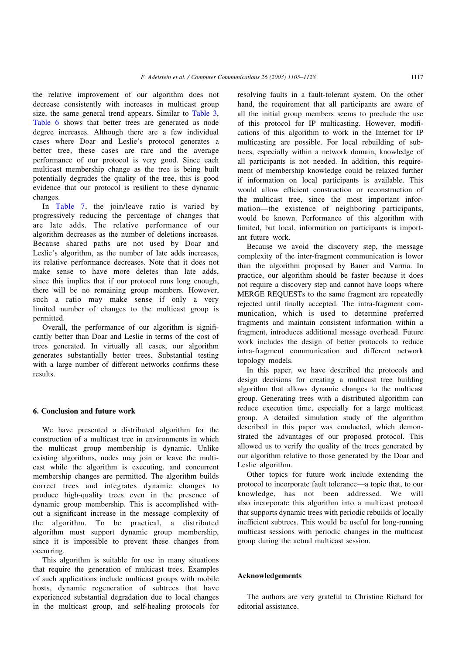the relative improvement of our algorithm does not decrease consistently with increases in multicast group size, the same general trend appears. Similar to [Table 3](#page-10-0), [Table 6](#page-11-0) shows that better trees are generated as node degree increases. Although there are a few individual cases where Doar and Leslie's protocol generates a better tree, these cases are rare and the average performance of our protocol is very good. Since each multicast membership change as the tree is being built potentially degrades the quality of the tree, this is good evidence that our protocol is resilient to these dynamic changes.

In [Table 7](#page-11-0), the join/leave ratio is varied by progressively reducing the percentage of changes that are late adds. The relative performance of our algorithm decreases as the number of deletions increases. Because shared paths are not used by Doar and Leslie's algorithm, as the number of late adds increases, its relative performance decreases. Note that it does not make sense to have more deletes than late adds, since this implies that if our protocol runs long enough, there will be no remaining group members. However, such a ratio may make sense if only a very limited number of changes to the multicast group is permitted.

Overall, the performance of our algorithm is significantly better than Doar and Leslie in terms of the cost of trees generated. In virtually all cases, our algorithm generates substantially better trees. Substantial testing with a large number of different networks confirms these results.

#### 6. Conclusion and future work

We have presented a distributed algorithm for the construction of a multicast tree in environments in which the multicast group membership is dynamic. Unlike existing algorithms, nodes may join or leave the multicast while the algorithm is executing, and concurrent membership changes are permitted. The algorithm builds correct trees and integrates dynamic changes to produce high-quality trees even in the presence of dynamic group membership. This is accomplished without a significant increase in the message complexity of the algorithm. To be practical, a distributed algorithm must support dynamic group membership, since it is impossible to prevent these changes from occurring.

This algorithm is suitable for use in many situations that require the generation of multicast trees. Examples of such applications include multicast groups with mobile hosts, dynamic regeneration of subtrees that have experienced substantial degradation due to local changes in the multicast group, and self-healing protocols for resolving faults in a fault-tolerant system. On the other hand, the requirement that all participants are aware of all the initial group members seems to preclude the use of this protocol for IP multicasting. However, modifications of this algorithm to work in the Internet for IP multicasting are possible. For local rebuilding of subtrees, especially within a network domain, knowledge of all participants is not needed. In addition, this requirement of membership knowledge could be relaxed further if information on local participants is available. This would allow efficient construction or reconstruction of the multicast tree, since the most important information—the existence of neighboring participants, would be known. Performance of this algorithm with limited, but local, information on participants is important future work.

Because we avoid the discovery step, the message complexity of the inter-fragment communication is lower than the algorithm proposed by Bauer and Varma. In practice, our algorithm should be faster because it does not require a discovery step and cannot have loops where MERGE REQUESTs to the same fragment are repeatedly rejected until finally accepted. The intra-fragment communication, which is used to determine preferred fragments and maintain consistent information within a fragment, introduces additional message overhead. Future work includes the design of better protocols to reduce intra-fragment communication and different network topology models.

In this paper, we have described the protocols and design decisions for creating a multicast tree building algorithm that allows dynamic changes to the multicast group. Generating trees with a distributed algorithm can reduce execution time, especially for a large multicast group. A detailed simulation study of the algorithm described in this paper was conducted, which demonstrated the advantages of our proposed protocol. This allowed us to verify the quality of the trees generated by our algorithm relative to those generated by the Doar and Leslie algorithm.

Other topics for future work include extending the protocol to incorporate fault tolerance—a topic that, to our knowledge, has not been addressed. We will also incorporate this algorithm into a multicast protocol that supports dynamic trees with periodic rebuilds of locally inefficient subtrees. This would be useful for long-running multicast sessions with periodic changes in the multicast group during the actual multicast session.

## Acknowledgements

The authors are very grateful to Christine Richard for editorial assistance.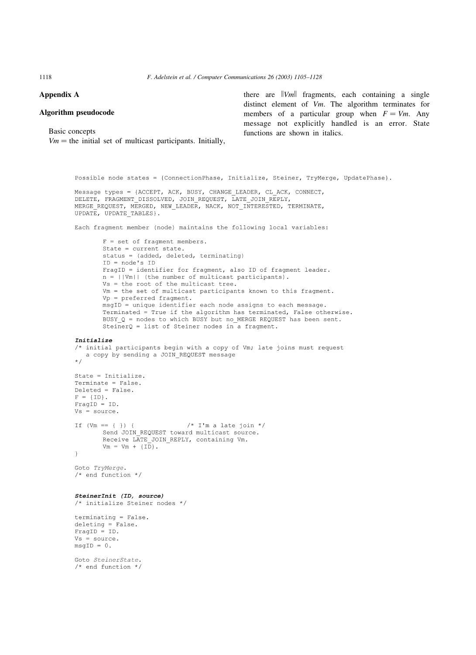## Appendix A

#### Algorithm pseudocode

there are  $\|Vm\|$  fragments, each containing a single distinct element of Vm. The algorithm terminates for members of a particular group when  $F = Vm$ . Any message not explicitly handled is an error. State functions are shown in italics.

```
Basic concepts
Vm = the initial set of multicast participants. Initially,
```

```
Possible node states = {ConnectionPhase, Initialize, Steiner, TryMerge, UpdatePhase}.
Message types = {ACCEPT, ACK, BUSY, CHANGE LEADER, CL ACK, CONNECT,
DELETE, FRAGMENT_DISSOLVED, JOIN_REQUEST, LATE_JOIN_REPLY,
MERGE REQUEST, MERGED, NEW LEADER, NACK, NOT INTERESTED, TERMINATE, UPDATE, UPDATE TABLES}.
Each fragment member (node) maintains the following local variables:
        F = set of fragment members.State = current state.
        status = (added, deleted, terminal)ID = node's IDFragID = identifier for fragment, also ID of fragment leader.
        n = |\nvert \nvert (the number of multicast participants).
        Vs = the root of the multicast tree.Vm = the set of multicast participants known to this fragment.
        Vp = preferred fragment.msgID = unique identifier each node assigns to each message.
        Terminated = True if the algorithm has terminated, False otherwise.
        BUSY Q = nodes to which BUSY but no MERGE REQUEST has been sent.
        SteinerQ = list of Steiner nodes in a fragment.
Initialize
/* initial participants begin with a copy of Vm; late joins must request
  a copy by sending a JOIN REQUEST message
\star /
State = Initialize.Terminate = False.Deleted = False.F = \{ID\}.
\text{FragID} = \text{ID}.Vs = source.If (\forall m == {}) {
                                /* I'm a late join */Send JOIN REQUEST toward multicast source.
        Receive LATE JOIN REPLY, containing Vm.
        \mathtt{Vm}~=~\mathtt{Vm}~+~\{\mathtt{ID}\}\ .\overline{1}Goto TryMerge.
/* end function */SteinerInit (ID, source)
/* initialize Steiner nodes */
terminating = False.
```
 $deleting = False.$  $\text{FragID} = \text{ID}$ .  $Vs = source.$  $msgID = 0.$ 

Goto SteinerState.  $/*$  end function  $*/$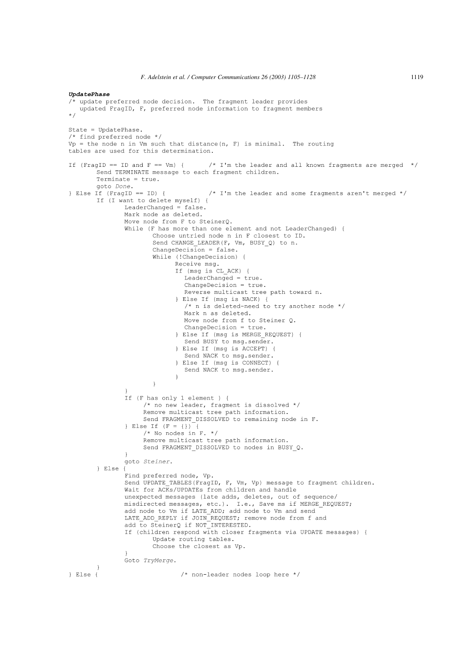#### UpdatePhase

```
/* update preferred node decision. The fragment leader provides
  updated FraqID, F, preferred node information to fragment members
State = UpdatePhase./* find preferred node */Vp = the node n in Vm such that distance(n, F) is minimal. The routing
tables are used for this determination.
If (FragID == ID and F == VM) {
                                     /* I'm the leader and all known fragments are merged */Send TERMINATE message to each fragment children.
       Terminate = true.goto Done.
                                      /* I'm the leader and some fragments aren't merged */
} Else If (FragID == ID) {
       If (I want to delete myself) {
               LeaderChanged = false.
               Mark node as deleted.
               Move node from F to SteinerQ.
               While (F has more than one element and not LeaderChanged) {
                       Choose untried node n in F closest to ID.
                       Send CHANGE LEADER (F, Vm, BUSY Q) to n.
                       ChangeDecision = false.While (!ChangeDecision) {
                             Receive msg.
                             If (msq is CL ACK) {
                               LeaderChange = true.ChangeDecision = true.Reverse multicast tree path toward n.
                             } Else If (msg is NACK) {
                               /* n is deleted-need to try another node */
                               Mark n as deleted.
                               Move node from f to Steiner Q.
                               ChangeDecision = true.} Else If (msq is MERGE REQUEST) {
                               Send BUSY to msg.sender.
                             } Else If (msg is ACCEPT) {
                               Send NACK to msg. sender.
                             } Else If (msg is CONNECT) {
                               Send NACK to msq. sender.
                             \lambda\rightarrowIf (F has only 1 element ) {
                    /* no new leader, fragment is dissolved */
                    Remove multicast tree path information.
                    Send FRAGMENT DISSOLVED to remaining node in F.
               } Else If (F = \{\})^{-1}/* No nodes in F. */Remove multicast tree path information.
                    Send FRAGMENT DISSOLVED to nodes in BUSY Q.
               \overline{\phantom{a}}goto Steiner.
       \} Else {
               Find preferred node, Vp.
               Send UPDATE TABLES (FragID, F, Vm, Vp) message to fragment children.
               Wait for ACKs/UPDATEs from children and handle
               unexpected messages (late adds, deletes, out of sequence/
               misdirected messages, etc.). I.e., Save ms if MERGE REQUEST;
               add node to Vm if LATE ADD; add node to Vm and send
               LATE ADD REPLY if JOIN REQUEST; remove node from f and
               add to SteinerQ if NOT INTERESTED.
               If (children respond with closer fragments via UPDATE messages) {
                       Update routing tables.
                       Choose the closest as Vp.
               Goto TryMerge.
} Else {
                               /* non-leader nodes loop here */
```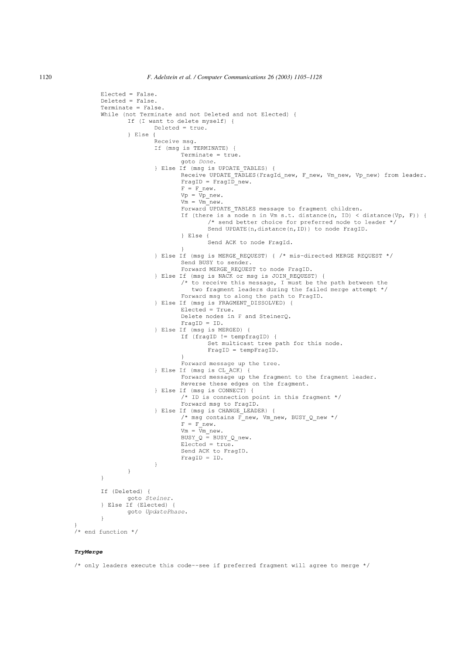```
Elected = False.Delta = False.Terminate = False.
       While (not Terminate and not Deleted and not Elected) {
               If (I want to delete myself) {
                        Delta = true.\} Else {
                        Receive msg.
                        If (msg is TERMINATE) {
                                Terminate = true.goto Done.
                        } Else If (msq is UPDATE TABLES) {
                                Receive UPDATE TABLES (FragId new, F new, Vm new, Vp new) from leader.
                                FragID = \text{FragID new.}F = F new.
                                v_p = v_{p_new}.
                                Vm = Vm \neq W.
                                Forward UPDATE_TABLES message to fragment children.
                                If (there is a node n in Vm s.t. distance (n, ID) < distance (Vp, F)) {
                                         /* send better choice for preferred node to leader */
                                        Send UPDATE(n, distance(n, ID)) to node FragID.
                                \} Else {
                                        Send ACK to node FragId.
                                \overline{\mathcal{X}}} Else If (msg is MERGE REQUEST) { /* mis-directed MERGE REQUEST */
                                Send BUSY to sender.
                                Forward MERGE REQUEST to node FragID.
                        Fise If (msg is NACK or msg is JOIN_REQUEST) {
                                /* to receive this message, I must be the path between the
                                   two fragment leaders during the failed merge attempt */
                                Forward msg to along the path to FragID.
                        } Else If (msg is FRAGMENT_DISSOLVED) {
                                Elected = True.Delete nodes in F and SteinerQ.
                                \texttt{FragID} = \texttt{ID}.} Else If (msg is MERGED) {
                                If (fragID != tempfragID) {
                                        Set multicast tree path for this node.
                                        FragID = tempFragID.\lambdaForward message up the tree.
                        } Else If (msg is CL_ACK) {
                                Forward message up the fragment to the fragment leader.
                                Reverse these edges on the fragment.
                        } Else If (msg is CONNECT) {
                                 /* ID is connection point in this fragment */
                                Forward msg to FragID.
                        } Else If (msg is CHANGE LEADER) {
                                /* msg contains F new, Vm new, BUSY Q new */
                                F = F new.
                                \bar{v}_m = \bar{v}_{m\_new}.
                                BUSY Q = BUSYQ_new.<br>Elected = true.
                                Send ACK to FraqID.
                                \texttt{fragID} = \texttt{ID}.\rightarrow\rightarrow\mathcal{F}If (Deleted) {
               goto Steiner.
        } Else If (Elected) {
               goto UpdatePhase.
y^* end function */
```
#### TryMerge

/\* only leaders execute this code--see if preferred fragment will agree to merge \*/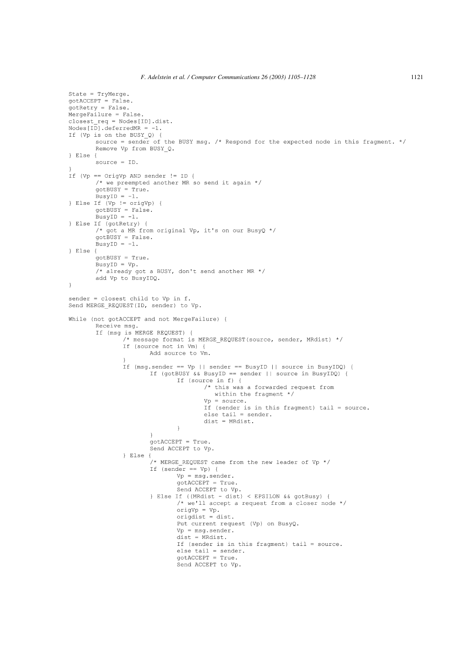```
State = TryMerge.qotACCEPT = False.gotRetry = False.MereFeilure = False.
closest_req = Nodes[ID].dist.
Nodes [1\overline{D}]. deferredMR = -1.
If (Vp is on the BUSY Q) {
        source = sender of the BUSY msg. /* Respond for the expected node in this fragment. */
        Remove Vp from BUSY_Q.
\} Else {
        source = ID.If (Vp == Origin AND sender != ID)/* we preempted another MR so send it again */
         gotBUSY = True.
         BusyID = -1.
} Else If (Vp := origin) {
        qotBUSY = False.BusyID = -1.
} Else If (gotRetry) {<br>/* got a MR from original Vp, it's on our BusyQ */<br>The state of the state of the state of the state of the state of the state of the state of the state of the state of the state of the state of the s
         gotBUSY = False.BusyID = -1.
}Else {
        gotBUSY = True.BusyID = Vp.
        BusyID = vp.<br>/* already got a BUSY, don't send another MR */<br>add Vp to BusyIDQ.
\rightarrowsender = closest child to Vp in f.
Send MERGE REQUEST (ID, sender) to Vp.
While (not gotACCEPT and not MergeFailure) {
        Receive msg.
        If (msg is MERGE REQUEST) {
                 /* message format is MERGE_REQUEST(source, sender, MRdist) */
                 If (source not in Vm) {
                          Add source to Vm.
                 If (msg.sender == Vp || sender == BusyID || source in BusyIDQ) {
                          If (gotBUSY && BusyID == sender || source in BusyIDQ) {
                                   If (source in f) {
                                           \frac{1}{x} this was a forwarded request from
                                              within the fragment */
                                            Vp = source.If (sender is in this fragment) tail = source.
                                            else tail = sender.
                                           dist = MRdist.\rightarrow\lambda\int gotACCEPT = True.
                          Send ACCEPT to Vp.
                 \} Else {
                           \sqrt{*} MERGE_REQUEST came from the new leader of Vp */If (sender == Vp) {
                                   Vp = msg.sender.qotACCEPT = True.Send ACCEPT to Vp.
                          } Else If ((MRdist - dist) < EPSILON && gotBusy) {
                                   /* we'll accept a request from a closer node */origVp = Vp.origdist = dist.Put current request (Vp) on BusyQ.
                                   Vp = msg.sender.dist = MRdist.If (sender is in this fragment) tail = source.
                                   else tail = sender.
                                   gotACCEPT = True.Send ACCEPT to Vp.
```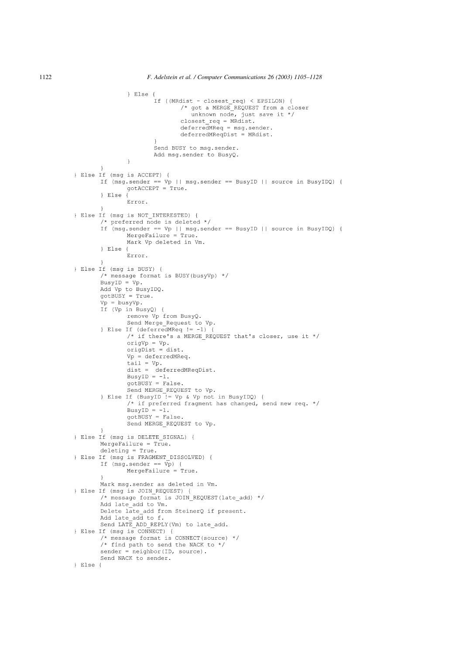```
\} Else {
                           '<br>If ((MRdist - closest_req) < EPSILON) {<br>/* got a MERGE REQUEST from a closer
                                       unknown node, just save it */
                                    \texttt{closest\_req = MRdist}.\text{defervedMReg} = \text{msg.sender.}deferredMRegDist = MRdist.Send BUSY to msg. sender.
                           Add msg.sender to BusyQ.
                  \rightarrow\rightarrow} Else If (msg is ACCEPT) {
         If (msg.sender == Vp || msg.sender == BusYID || source in BusYIDQ) {
                  gotACCEPT = True.\} Else {
                  Error.
         \overline{\mathbf{1}}} Else If (msg is NOT_INTERESTED) {
         /* preferred node is deleted */
         If (msg.sender == Vp || msg.sender == BusyID || source in BusyIDQ) {
                  MergeFailure = True.
                  Mark Vp deleted in Vm.
         \} Else {
                  Error.
         \rightarrow} Else If (msg is BUSY) {
         /* message format is BUSY(busyVp) */
         BusyID = Vp.
         Add Vp to BusyIDQ.<br>gotBUSY = True.
         Vp = busyVp.If (Vp in BusyQ) {
                  remove Vp from BusyQ.
         Send Merge_Request to Vp.<br>} Else If (deferredMReq != -1) {
                  /* if there's a MERGE REQUEST that's closer, use it */
                  origVp = Vp.
                  origDist = dist.
                  Vp = deferred MReg.vp – auerieanneq.<br>tail = Vp.<br>dist = deferredMReqDist.<br>BusyID = -1.<br>gotBUSY = False.
         Send MERGE REQUEST to Vp.<br>} Else If (BusyID != Vp & Vp not in BusyIDQ) {
                  /* if preferred fragment has changed, send new req. */
                  BusyID = -1.<br>gotBUSY = False.
                  Send MERGE REQUEST to Vp.
         \rightarrow} Else If (msq is DELETE SIGNAL) {
         MergeFailure = \bar{r}ue.
         deleting = True.} Else If (msg is FRAGMENT DISSOLVED) {
         If (msg.sender == Vp) {
                 MergeFailure = True.
         Mark msg.sender as deleted in Vm.
} Else If (msg is JOIN_REQUEST) {
         /* message format is JOIN_REQUEST(late_add) */
         Add late add to Vm.
         Delete late add from SteinerQ if present.
         Add late ad\bar{d} to f.
Send LATE_ADD_REPLY(Vm) to late_add.<br>} Else If (msg is CONNECT) {
         /* message format is CONNECT (source) */
         /* find path to send the NACK to */sender = neighbor(ID, source).
         Send NACK to sender.
} Else {
```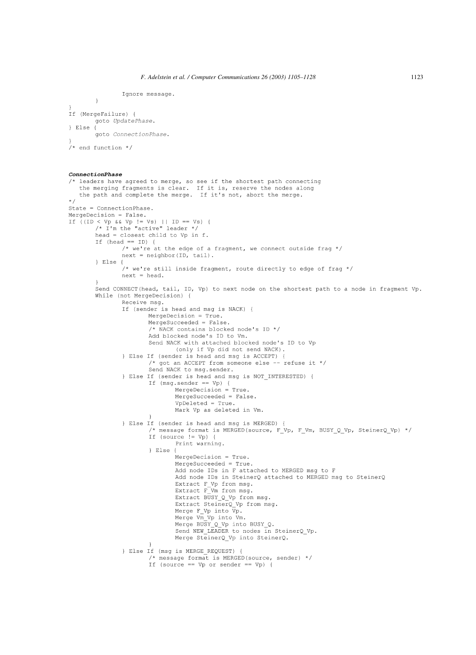```
Ignore message.
           \lambda.<br>If (MergeFailure) {
           goto UpdatePhase.
\overline{\phantom{a}} Else \overline{\phantom{a}}.<br>qoto ConnectionPhase.
/* end function */
```
#### ConnectionPhase

```
/* leaders have agreed to merge, so see if the shortest path connecting
   the merging fragments is clear. If it is, reserve the nodes along<br>the path and complete the merge. If it's not, abort the merge.
State = ConnectionPhase.State – ConnectionFride.<br>
MergeDecision = False.<br>
If ((ID < Vp && Vp != Vs) || ID == Vs) {<br>
/* I'm the "active" leader */<br>
head = closest child to Vp in f
         head = closest child to Vp in f.
         If (head == ID) {
                  /* we're at the edge of a fragment, we connect outside frag */
                  next = neighbor(ID, tail).} Else {
                  .<br>/* we're still inside fragment, route directly to edge of frag */
                  next = head.Send CONNECT (head, tail, ID, Vp) to next node on the shortest path to a node in fragment Vp.
         While (not MergeDecision) {
                  Receive msg.
                  If (sender is head and msg is NACK) {
                           MergeDecision = True.<br>MergeSucceeded = False.
                           /* NACK contains blocked node's ID */
                           Add blocked node's ID to Vm.
                           Send NACK with attached blocked node's ID to Vp
                                    (only if Vp did not send NACK).
                  } Else If (sender is head and msg is ACCEPT) {
                           /* got an ACCEPT from someone else -- refuse it */
                           Send NACK to msg. sender.
                  } Else If (sender is head and msg is NOT_INTERESTED) {
                           If (msg.sender == Vp) {
                                    MergeDecision = True.<br>MergeSucceeded = False.
                                    VpDeleted = True.Mark Vp as deleted in Vm.
                  } Else If (sender is head and msg is MERGED) {
                           /* message format is MERGED (source, F_Vp, F_Vm, BUSY Q_Vp, SteinerQ_Vp) */
                           If (source != Vp) {
                                    Print warning.
                           }Else {
                                    MergeDecision = True.
                                    MergeSucceeded = True.Add node IDs in F attached to MERGED msg to F
                                    Add node IDs in SteinerQ attached to MERGED msg to SteinerQ
                                    Extract F_Vp from msg.<br>Extract F_Vm from msg.
                                    Extract BUSY_Q_Vp from msg.
                                    Extract SteinerQ_Vp from msg.
                                    Merge F_Vp into Vp.<br>Merge Vm_Vp into Vm.
                                    Merge BUSY Q Vp into BUSY Q.
                                    Send NEW LEADER to nodes in SteinerQ Vp.
                                    Merge SteinerQ_Vp into SteinerQ.
                  } Else If (msg is MERGE_REQUEST) {<br>/* message format is MERGED(source, sender) */
                           If (source == Vp or sender == Vp) {
```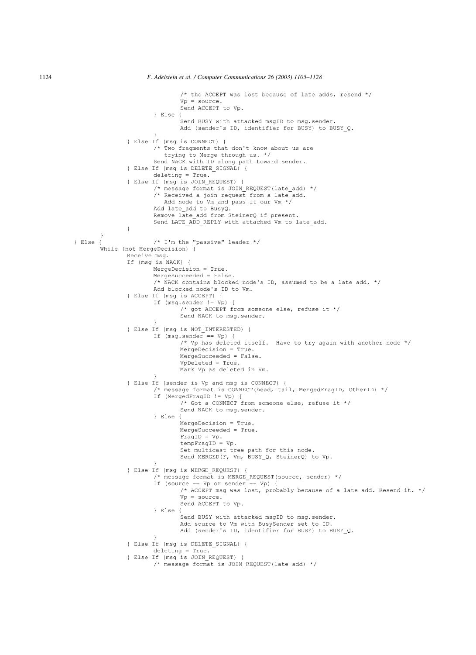```
/* the ACCEPT was lost because of late adds, resend */
                                Vn = source.send ACCEPT to Vp.
                        } Else {
                               Send BUSY with attacked msgID to msg.sender.
                               Add (sender's ID, identifier for BUSY) to BUSY_Q.
                        \rightarrow} Else If (msg is CONNECT) {
                       /* Two fragments that don't know about us are
                          trying to Merge through us. */
                        Send NACK with ID along path toward sender.
               } Else If (msg is DELETE SIGNAL) {
               deleting = True.<br>Bise If (msg is JOIN REQUEST) {
                        /* message format is JOIN REQUEST(late add) */
                       /* Received a join request from a late add.
                          Add node to Vm and pass it our Vm */
                       Add late_add to BusyQ.
                       Remove late_add from SteinerQ if present.
                       Send LATE_ADD_REPLY with attached Vm to late_add.
               \rightarrow}Else {
                       /* I'm the "passive" leader */
       While (not MergeDecision) {
               Receive msg.
               If (msq is NACK) {
                       MergeDecision = True.
                       MergeSucceeded = False./* NACK contains blocked node's ID, assumed to be a late add. */
                       Add blocked node's ID to Vm.
               } Else If (msg is ACCEPT) {
                       If (msg.sender != Vp) {
                               /* got ACCEPT from someone else, refuse it */
                               Send NACK to msg.sender.
               } Else If (msg is NOT_INTERESTED) {
                       If (msg.sender == Vp) {
                                /* Vp has deleted itself. Have to try again with another node */
                               MergeDecision = True.MergeSucceeded = False.VppPeleted = True.Mark Vp as deleted in Vm.
                        \rightarrow} Else If (sender is Vp and msg is CONNECT) {
                       If (sender is vp and msg is CONNECT) {<br>/* message format is CONNECT(head, tail, MergedFragID, OtherID) */<br>If (MergedFragID != Vp) {
                                /* Got a CONNECT from someone else, refuse it */Send NACK to msg.sender.
                        \} Else {
                               MergeDecision = True.
                               MergeSucceeded = True.FragID = Vp.tempFragID = Vp.Set multicast tree path for this node.<br>Send MERGED(F, Vm, BUSY_Q, SteinerQ) to Vp.
                       \rightarrow} Else If (msg is MERGE REQUEST) {
                       /* ACCEPT msg was lost, probably because of a late add. Resend it. */
                               Vp = source.Send ACCEPT to Vp.
                        \} Else {
                                Send BUSY with attacked msgID to msg. sender.
                               Add source to Vm with BusySender set to ID.
                               Add (sender's ID, identifier for BUSY) to BUSY Q.
               } Else If (msg is DELETE SIGNAL) {
                       deleting = True.} Else If (msg is JOIN REQUEST) {
                        /* message format is JOIN_REQUEST(late_add) */
```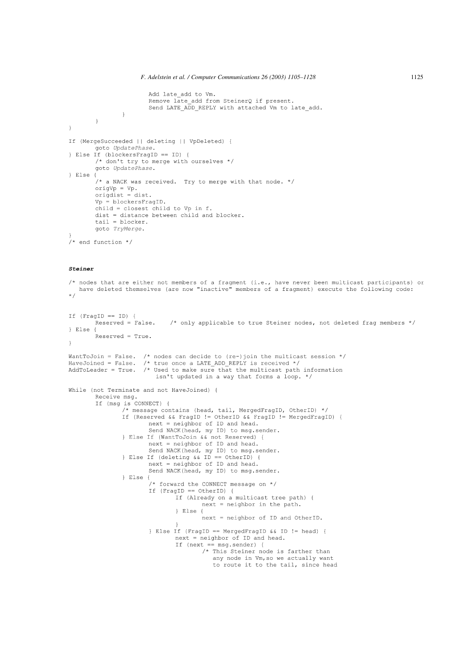```
Add late add to Vm.
                        Remove late add from SteinerQ if present.
                        Send LATE ADD REPLY with attached Vm to late add.
                \rightarrow\rightarrow\}If (MergeSucceeded || deleting || VpDeleted) {
        goto UpdatePhase.
} Else If (blockersFragID == ID) {
        /* don't try to merge with ourselves */
        goto UpdatePhase.
\} Else {
        \gamma^* a NACK was received. Try to merge with that node. */
        origVp = Vp.<br>
origdist = dist.Vp = blockersFraqID.child = closest child to Vp in f.dist = distance between child and blocker.tail = blocker.goto TryMerge.
/* end function */
```
#### Steiner

```
have deleted themselves (are now "inactive" members of a fragment) execute the following code:
\star /
If (FragID == ID) {
         Reserved = False./* only applicable to true Steiner nodes, not deleted frag members */
} Else {
         Reserved = True.
WantToJoin = False. /* nodes can decide to (re-)join the multicast session */
Mantrovoin - raise. \frac{1}{2} houes can decide to \frac{1}{2} (re-) join the multicast session \frac{1}{2}.<br>HaveJoined = False. \frac{1}{2} true once a LATE_ADD_REPLY is received \frac{1}{2}.<br>AddToLeader = True. \frac{1}{2} Used to
                            isn't updated in a way that forms a loop. */
While (not Terminate and not HaveJoined) {
         Receive msg.
         If (msg is CONNECT) {
                  /* message contains (head, tail, MergedFragID, OtherID) */
                  If (Reserved && FragID != OtherID && FragID != MergedFragID) {
                          next = neighbor of ID and head.Send NACK (head, my ID) to msg.sender.
                  } Else If (WantToJoin && not Reserved) {
                          next = neighbor of ID and head.Send NACK (head, my ID) to msg.sender.<br>} Else If (deleting && ID == OtherID) {
                          next = neighbor of ID and head.Send NACK (head, my ID) to msg.sender.
                 } Else {
                          /* forward the CONNECT message on */
                          If (FragID == OtherID) {
                                   If (Already on a multicast tree path) {
                                           next = neighbor in the path.\} Else {
                                           next = neighbor of ID and OtherID.
                                   \rightarrow} Else If (FragID == MergedFragID && ID != head) {
                                   next = neighbor of ID and head.
                                   If (next == msg.sender) {
                                            /* This Steiner node is farther than
                                               any node in Vm, so we actually want
                                               to route it to the tail, since head
```
\* nodes that are either not members of a fragment (i.e., have never been multicast participants) or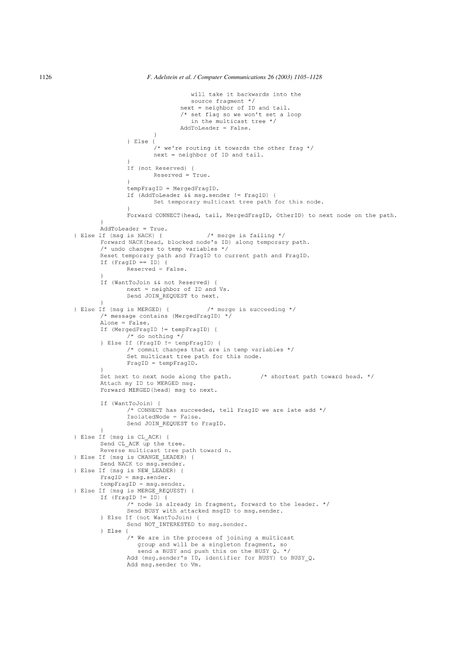```
will take it backwards into the
                                     source fragment */
                                  next = neighbor of ID and tail./* set flag so we won't set a loop
                                     in the multicast tree */AddToLeader = False.}Else {
                          /* we're routing it towards the other frag */
                         next = neighbor of ID and tail.
                 If (not Reserved) {
                         Reserved = True.\mathcal{V}tempFragID = MergedFragID.
                 If (AddToLeader && msg.sender != FragID) {
                         Set temporary multicast tree path for this node.
                 Forward CONNECT (head, tail, MergedFragID, OtherID) to next node on the path.
        AddToLeader = True.
} Else If (msq is NACK) {
                                          \frac{1}{x} merge is failing */
        Forward NACK (head, blocked node's ID) along temporary path.
        /* undo changes to temp variables */
        Reset temporary path and FragID to current path and FragID.
        If (Fragment = ID) {
                Reserved = False.\overline{\phantom{a}}If (WantToJoin && not Reserved) {<br>next = neighbor of ID and Vs.
                 Send JOIN REQUEST to next.
        \rightarrow\frac{1}{x} merge is succeeding */
} Else If (msg is MERGED) {
         /* message contains (MergedFragID) */
        Alone = False.
        If (MergedFragID != tempFragID) {
                 7* do nothing */} Else If (FragID != tempFragID) {
                 /* commit changes that are in temp variables */
                 Set multicast tree path for this node.
                \texttt{FreqID} = \texttt{tempFreqID}.s<br>Set next to next node along the path.<br>Attach my ID to MERGED msg.
                                                         /* shortest path toward head. */
        Forward MERGED (head) msg to next.
        If (WantToJoin) {
                 /* CONNECT has succeeded, tell FragID we are late add */
                 IsolatedNode = False.
                 Send JOIN REQUEST to FragID.
} Else If (msg is CL ACK) {
        Send CL ACK up the tree.
        Reverse multicast tree path toward n.
} Else If (msg is CHANGE LEADER) {
        Send NACK to msg.sender.
} Else If (msg is NEW_LEADER) {
        \texttt{FragID} = \texttt{msg.sender.}tempFragID = msg.sender.} Else If (msg is MERGE_REQUEST) {
        If (Fragment - ID) {
                 /* node is already in fragment, forward to the leader. */
                 Send BUSY with attacked msgID to msg.sender.
        } Else If (not WantToJoin) {
                Send NOT INTERESTED to msg.sender.
        \} Else {
                 *<br>* We are in the process of joining a multicast<br>group and will be a singleton fragment, so
                 send a BUSY and push this on the BUSY Q. */<br>Add (msg.sender's ID, identifier for BUSY) to BUSY_Q.
                 Add msg.sender to Vm.
```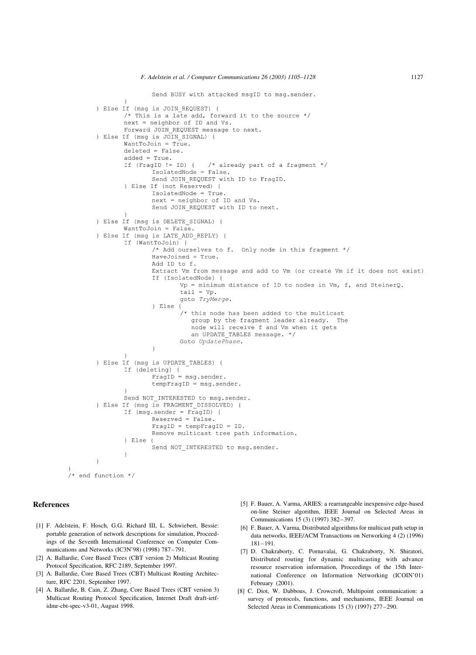```
Send BUSY with attacked msqID to msq.sender.
     } Else If (msg is JOIN REQUEST) {
             /* This is a late add, forward it to the source */
            next = neighbor of ID and Vs.Forward JOIN REQUEST message to next.
     } Else If (msg is JOIN SIGNAL) {
            WantToJoin = Tue.deleted = False.added = True./* already part of a fragment */
             If (FragID != ID) {
                    IsolatedNode = False.
                    Send JOIN REQUEST with ID to FragID.
             } Else If (not Reserved) {
                    IsolatedNode = True.
                    next = neighbor of ID and Vs.Send JOIN REQUEST with ID to next.
     } Else If (msg is DELETE_SIGNAL) {
            WantToJoin = False.} Else If (msg is LATE ADD REPLY) {
            If (WantToJoin) {
                     /* Add ourselves to f. Only node in this fragment */
                    HaveJoined = True.Add ID to f.
                    Extract Vm from message and add to Vm (or create Vm if it does not exist)
                    If (IsolatedNode) {
                            Vp = minimum distance of ID to nodes in VM, f, and SteinerQ.tail = Vp.goto TryMerge.
                    E1se/* this node has been added to the multicast
                               group by the fragment leader already. The
                               node will receive f and Vm when it gets
                               an UPDATE TABLES message. */
                            Goto UpdatePhase.
            \rightarrow} Else If (msg is UPDATE TABLES) {
            If (deleting) {
                    FragID = msg.sender.tempFragID = msg.sender.\rightarrowSend NOT_INTERESTED to msg.sender.
     } Else If (msg is FRAGMENT_DISSOLVED) {
            If (msg.sender = FragID) {
                    Reserved = False.FragID = tempFragID = ID.Remove multicast tree path information.
             } Else
                    Send NOT INTERESTED to msg. sender.
             \overline{\mathbf{r}}\overline{\phantom{a}}end function */
```
## **References**

- [1] F. Adelstein, F. Hosch, G.G. Richard III, L. Schwiebert, Bessie: portable generation of network descriptions for simulation, Proceedings of the Seventh International Conference on Computer Communications and Networks (IC3N'98) (1998) 787–791.
- [2] A. Ballardie, Core Based Trees (CBT version 2) Multicast Routing Protocol Specification, RFC 2189, September 1997.
- [3] A. Ballardie, Core Based Trees (CBT) Multicast Routing Architecture, RFC 2201, September 1997.
- [4] A. Ballardie, B. Cain, Z. Zhang, Core Based Trees (CBT version 3) Multicast Routing Protocol Specification, Internet Draft draft-ietfidmr-cbt-spec-v3-01, August 1998.
- [5] F. Bauer, A. Varma, ARIES: a rearrangeable inexpensive edge-based on-line Steiner algorithm, IEEE Journal on Selected Areas in Communications 15 (3) (1997) 382–397.
- [6] F. Bauer, A. Varma, Distributed algorithms for multicast path setup in data networks, IEEE/ACM Transactions on Networking 4 (2) (1996) 181–191.
- [7] D. Chakraborty, C. Pornavalai, G. Chakraborty, N. Shiratori, Distributed routing for dynamic multicasting with advance resource reservation information, Proceedings of the 15th International Conference on Information Networking (ICOIN'01) February (2001).
- [8] C. Diot, W. Dabbous, J. Crowcroft, Multipoint communication: a survey of protocols, functions, and mechanisms, IEEE Journal on Selected Areas in Communications 15 (3) (1997) 277–290.